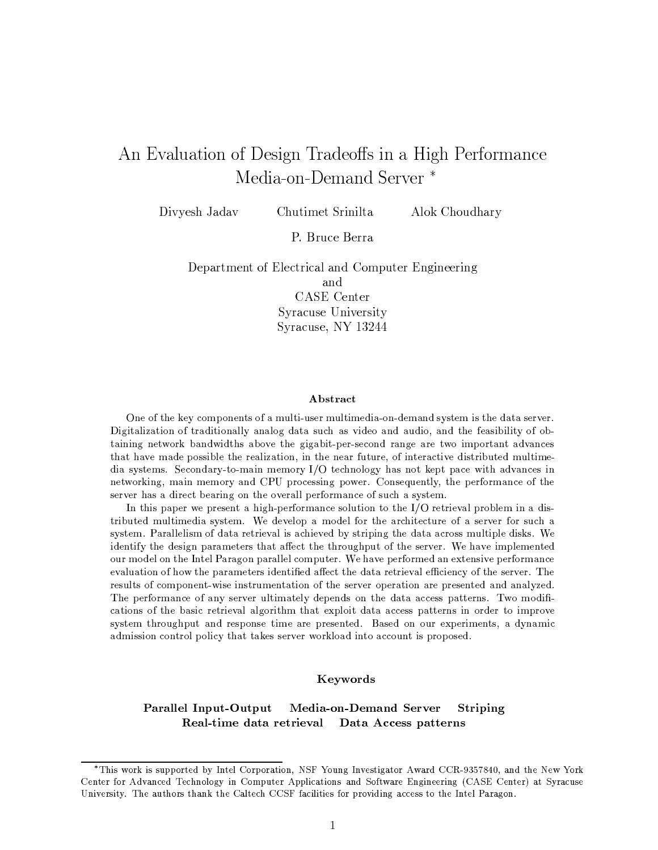# An Evaluation of Design Tradeoffs in a High Performance Media-on-Demand Server<sup>\*</sup>

Divyesh Jadav

Chutimet Srinilta

Alok Choudhary

P. Bruce Berra

Department of Electrical and Computer Engineering and CASE Center Syracuse University Syracuse, NY 13244

### Abstract

One of the key components of a multi-user multimedia-on-demand system is the data server. Digitalization of traditionally analog data such as video and audio, and the feasibility of obtaining network bandwidths above the gigabit-per-second range are two important advances that have made possible the realization, in the near future, of interactive distributed multimedia systems. Secondary-to-main memory  $I/O$  technology has not kept pace with advances in networking, main memory and CPU processing power. Consequently, the performance of the server has a direct bearing on the overall performance of such a system.

In this paper we present a high-performance solution to the  $I/O$  retrieval problem in a distributed multimedia system. We develop a model for the architecture of a server for such a system. Parallelism of data retrieval is achieved by striping the data across multiple disks. We identify the design parameters that affect the throughput of the server. We have implemented our model on the Intel Paragon parallel computer. We have performed an extensive performance evaluation of how the parameters identified affect the data retrieval efficiency of the server. The results of component-wise instrumentation of the server operation are presented and analyzed. The performance of any server ultimately depends on the data access patterns. Two modifications of the basic retrieval algorithm that exploit data access patterns in order to improve system throughput and response time are presented. Based on our experiments, a dynamic admission control policy that takes server workload into account is proposed.

# Keywords

#### Parallel Input-Output Media-on-Demand Server Striping Real-time data retrieval Data Access patterns

<sup>\*</sup>This work is supported by Intel Corporation, NSF Young Investigator Award CCR-9357840, and the New York Center for Advanced Technology in Computer Applications and Software Engineering (CASE Center) at Syracuse University. The authors thank the Caltech CCSF facilities for providing access to the Intel Paragon.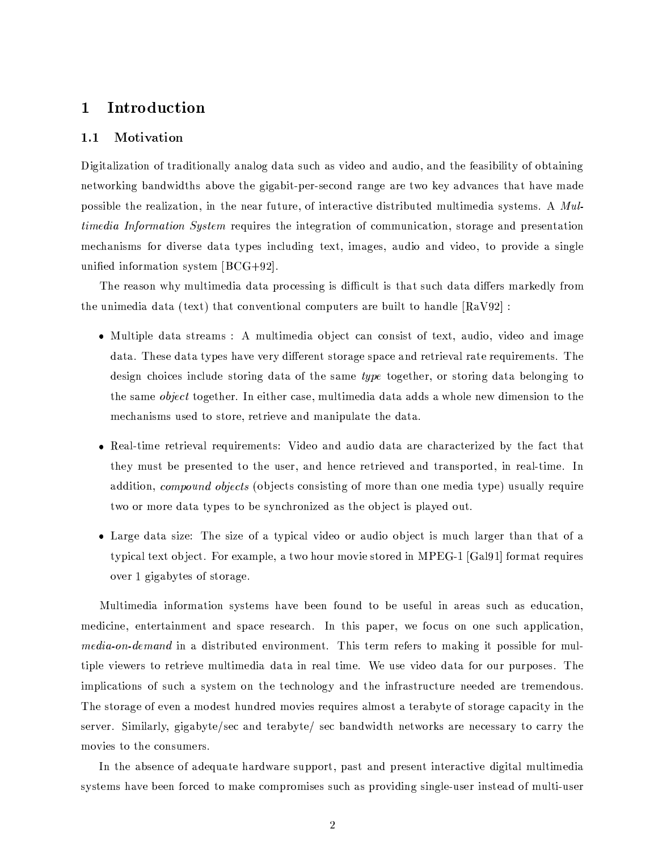### Introduction  $\mathbf 1$

#### Motivation  $1.1$

Digitalization of traditionally analog data such as video and audio, and the feasibility of obtaining networking bandwidths above the gigabit-per-second range are two key advances that have made possible the realization, in the near future, of interactive distributed multimedia systems. A Mul*timedia Information System* requires the integration of communication, storage and presentation mechanisms for diverse data types including text, images, audio and video, to provide a single unified information system  $[BCG+92]$ .

The reason why multimedia data processing is difficult is that such data differs markedly from the unimedia data (text) that conventional computers are built to handle  $\lceil \text{RaV92} \rceil$ :

- Multiple data streams: A multimedia object can consist of text, audio, video and image data. These data types have very different storage space and retrieval rate requirements. The design choices include storing data of the same type together, or storing data belonging to the same *object* together. In either case, multimedia data adds a whole new dimension to the mechanisms used to store, retrieve and manipulate the data.
- Real-time retrieval requirements: Video and audio data are characterized by the fact that they must be presented to the user, and hence retrieved and transported, in real-time. In addition, *compound objects* (objects consisting of more than one media type) usually require two or more data types to be synchronized as the object is played out.
- Large data size: The size of a typical video or audio object is much larger than that of a typical text object. For example, a two hour movie stored in MPEG-1 [Gal91] format requires over 1 gigabytes of storage.

Multimedia information systems have been found to be useful in areas such as education, medicine, entertainment and space research. In this paper, we focus on one such application, *media-on-demand* in a distributed environment. This term refers to making it possible for multiple viewers to retrieve multimedia data in real time. We use video data for our purposes. The implications of such a system on the technology and the infrastructure needed are tremendous. The storage of even a modest hundred movies requires almost a terabyte of storage capacity in the server. Similarly, gigabyte/sec and terabyte/sec bandwidth networks are necessary to carry the movies to the consumers.

In the absence of adequate hardware support, past and present interactive digital multimedia systems have been forced to make compromises such as providing single-user instead of multi-user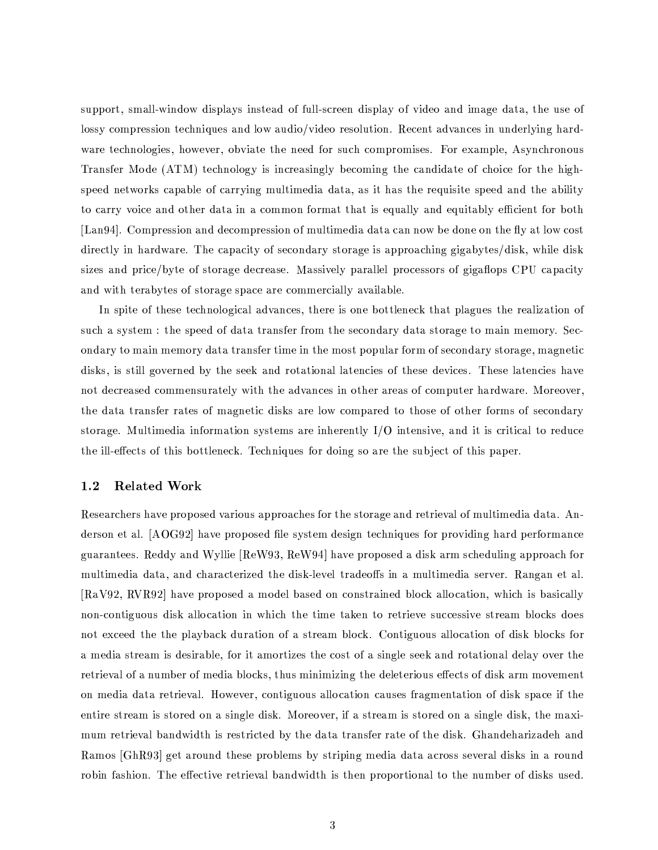support, small-window displays instead of full-screen display of video and image data, the use of lossy compression techniques and low audio/video resolution. Recent advances in underlying hardware technologies, however, obviate the need for such compromises. For example, Asynchronous Transfer Mode (ATM) technology is increasingly becoming the candidate of choice for the highspeed networks capable of carrying multimedia data, as it has the requisite speed and the ability to carry voice and other data in a common format that is equally and equitably efficient for both [Lang4]. Compression and decompression of multimedia data can now be done on the fly at low cost directly in hardware. The capacity of secondary storage is approaching gigabytes/disk, while disk sizes and price/byte of storage decrease. Massively parallel processors of gigaflops CPU capacity and with terabytes of storage space are commercially available.

In spite of these technological advances, there is one bottleneck that plagues the realization of such a system: the speed of data transfer from the secondary data storage to main memory. Secondary to main memory data transfer time in the most popular form of secondary storage, magnetic disks, is still governed by the seek and rotational latencies of these devices. These latencies have not decreased commensurately with the advances in other areas of computer hardware. Moreover, the data transfer rates of magnetic disks are low compared to those of other forms of secondary storage. Multimedia information systems are inherently  $I/O$  intensive, and it is critical to reduce the ill-effects of this bottleneck. Techniques for doing so are the subject of this paper.

#### $1.2$ **Related Work**

Researchers have proposed various approaches for the storage and retrieval of multimedia data. Anderson et al. [AOG92] have proposed file system design techniques for providing hard performance guarantees. Reddy and Wyllie ReW93, ReW94 have proposed a disk arm scheduling approach for multimedia data, and characterized the disk-level tradeoffs in a multimedia server. Rangan et al. [RaV92, RVR92] have proposed a model based on constrained block allocation, which is basically non-contiguous disk allocation in which the time taken to retrieve successive stream blocks does not exceed the the playback duration of a stream block. Contiguous allocation of disk blocks for a media stream is desirable, for it amortizes the cost of a single seek and rotational delay over the retrieval of a number of media blocks, thus minimizing the deleterious effects of disk arm movement on media data retrieval. However, contiguous allocation causes fragmentation of disk space if the entire stream is stored on a single disk. Moreover, if a stream is stored on a single disk, the maximum retrieval bandwidth is restricted by the data transfer rate of the disk. Ghandeharizadeh and Ramos [GhR93] get around these problems by striping media data across several disks in a round robin fashion. The effective retrieval bandwidth is then proportional to the number of disks used.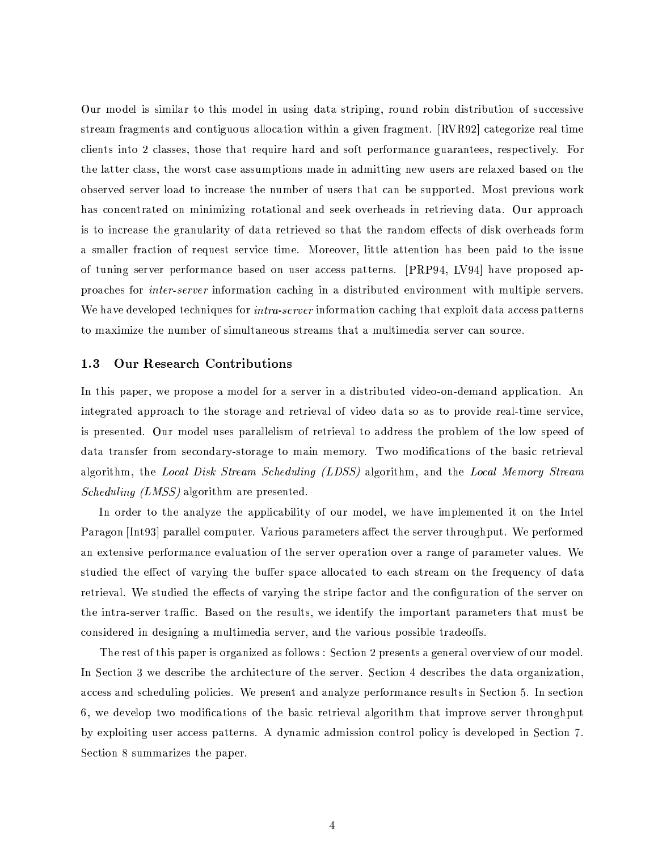Our model is similar to this model in using data striping, round robin distribution of successive stream fragments and contiguous allocation within a given fragment. [RVR92] categorize real time clients into 2 classes, those that require hard and soft performance guarantees, respectively. For the latter class, the worst case assumptions made in admitting new users are relaxed based on the observed server load to increase the number of users that can be supported. Most previous work has concentrated on minimizing rotational and seek overheads in retrieving data. Our approach is to increase the granularity of data retrieved so that the random effects of disk overheads form a smaller fraction of request service time. Moreover, little attention has been paid to the issue of tuning server performance based on user access patterns. [PRP94, LV94] have proposed approaches for *inter-server* information caching in a distributed environment with multiple servers. We have developed techniques for *intra-server* information caching that exploit data access patterns to maximize the number of simultaneous streams that a multimedia server can source.

#### $1.3$ **Our Research Contributions**

In this paper, we propose a model for a server in a distributed video-on-demand application. An integrated approach to the storage and retrieval of video data so as to provide real-time service, is presented. Our model uses parallelism of retrieval to address the problem of the low speed of data transfer from secondary-storage to main memory. Two modifications of the basic retrieval algorithm, the Local Disk Stream Scheduling (LDSS) algorithm, and the Local Memory Stream *Scheduling (LMSS)* algorithm are presented.

In order to the analyze the applicability of our model, we have implemented it on the Intel Paragon [Int93] parallel computer. Various parameters affect the server throughput. We performed an extensive performance evaluation of the server operation over a range of parameter values. We studied the effect of varying the buffer space allocated to each stream on the frequency of data retrieval. We studied the effects of varying the stripe factor and the configuration of the server on the intra-server traffic. Based on the results, we identify the important parameters that must be considered in designing a multimedia server, and the various possible tradeoffs.

The rest of this paper is organized as follows: Section 2 presents a general overview of our model. In Section 3 we describe the architecture of the server. Section 4 describes the data organization, access and scheduling policies. We present and analyze performance results in Section 5. In section 6, we develop two modifications of the basic retrieval algorithm that improve server throughput by exploiting user access patterns. A dynamic admission control policy is developed in Section 7. Section 8 summarizes the paper.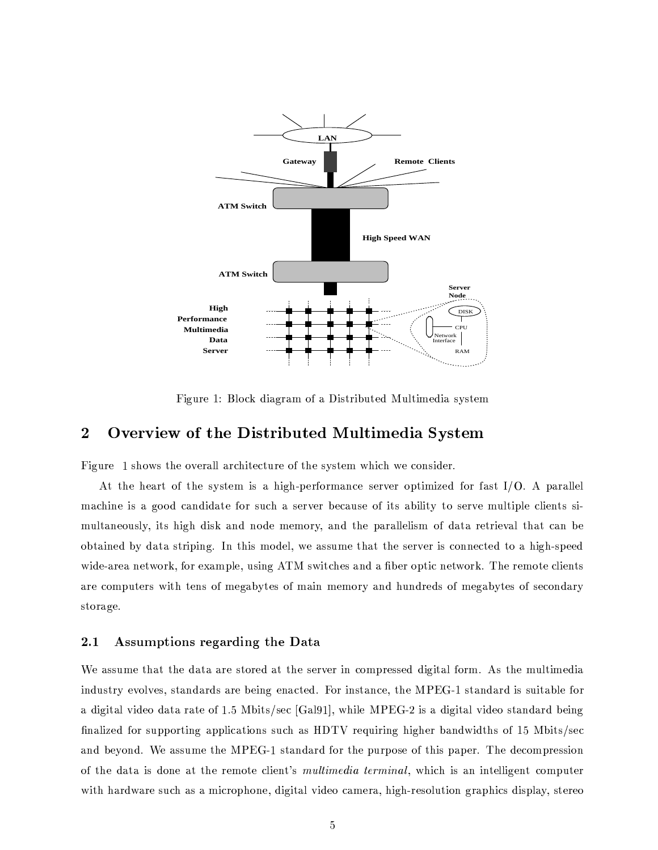

Figure 1: Block diagram of a Distributed Multimedia system

### Overview of the Distributed Multimedia System  $\bf{2}$

Figure 1 shows the overall architecture of the system which we consider.

At the heart of the system is a high-performance server optimized for fast  $I/O$ . A parallel machine is a good candidate for such a server because of its ability to serve multiple clients simultaneously, its high disk and node memory, and the parallelism of data retrieval that can be obtained by data striping. In this model, we assume that the server is connected to a high-speed wide-area network, for example, using ATM switches and a fiber optic network. The remote clients are computers with tens of megabytes of main memory and hundreds of megabytes of secondary storage.

#### Assumptions regarding the Data  $2.1$

We assume that the data are stored at the server in compressed digital form. As the multimedia industry evolves, standards are being enacted. For instance, the MPEG-1 standard is suitable for a digital video data rate of 1.5 Mbits/sec [Gal91], while MPEG-2 is a digital video standard being finalized for supporting applications such as HDTV requiring higher bandwidths of 15 Mbits/sec and beyond. We assume the MPEG-1 standard for the purpose of this paper. The decompression of the data is done at the remote client's *multimedia terminal*, which is an intelligent computer with hardware such as a microphone, digital video camera, high-resolution graphics display, stereo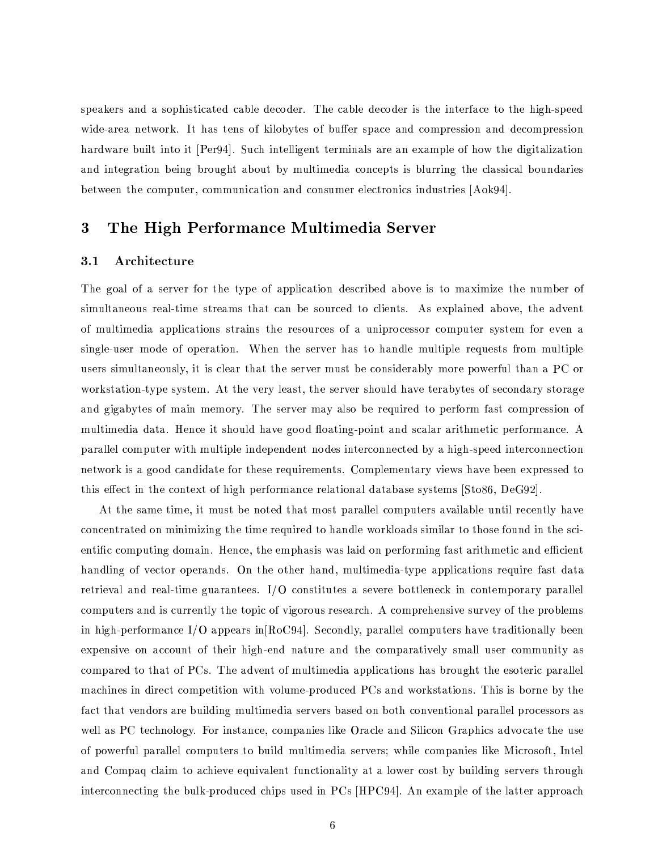speakers and a sophisticated cable decoder. The cable decoder is the interface to the high-speed wide-area network. It has tens of kilobytes of buffer space and compression and decompression hardware built into it [Per94]. Such intelligent terminals are an example of how the digitalization and integration being brought about by multimedia concepts is blurring the classical boundaries between the computer, communication and consumer electronics industries [Aok94].

### The High Performance Multimedia Server 3

#### $3.1$ Architecture

The goal of a server for the type of application described above is to maximize the number of simultaneous real-time streams that can be sourced to clients. As explained above, the advent of multimedia applications strains the resources of a uniprocessor computer system for even a single-user mode of operation. When the server has to handle multiple requests from multiple users simultaneously, it is clear that the server must be considerably more powerful than a PC or workstation-type system. At the very least, the server should have terabytes of secondary storage and gigabytes of main memory. The server may also be required to perform fast compression of multimedia data. Hence it should have good floating-point and scalar arithmetic performance. A parallel computer with multiple independent nodes interconnected by a high-speed interconnection network is a good candidate for these requirements. Complementary views have been expressed to this effect in the context of high performance relational database systems [Sto86, DeG92].

At the same time, it must be noted that most parallel computers available until recently have concentrated on minimizing the time required to handle workloads similar to those found in the scientific computing domain. Hence, the emphasis was laid on performing fast arithmetic and efficient handling of vector operands. On the other hand, multimedia-type applications require fast data retrieval and real-time guarantees. I/O constitutes a severe bottleneck in contemporary parallel computers and is currently the topic of vigorous research. A comprehensive survey of the problems in high-performance I/O appears in  $[Roc94]$ . Secondly, parallel computers have traditionally been expensive on account of their high-end nature and the comparatively small user community as compared to that of PCs. The advent of multimedia applications has brought the esoteric parallel machines in direct competition with volume-produced PCs and workstations. This is borne by the fact that vendors are building multimedia servers based on both conventional parallel processors as well as PC technology. For instance, companies like Oracle and Silicon Graphics advocate the use of powerful parallel computers to build multimedia servers; while companies like Microsoft, Intel and Compaq claim to achieve equivalent functionality at a lower cost by building servers through interconnecting the bulk-produced chips used in PCs [HPC94]. An example of the latter approach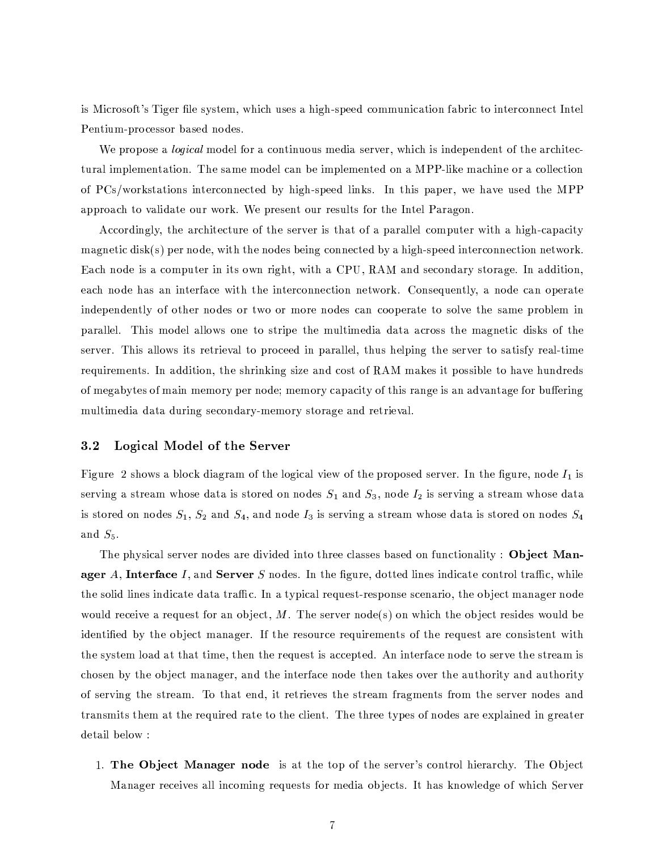is Microsoft's Tiger file system, which uses a high-speed communication fabric to interconnect Intel Pentium-processor based nodes.

We propose a *logical* model for a continuous media server, which is independent of the architectural implementation. The same model can be implemented on a MPP-like machine or a collection of PCs/workstations interconnected by high-speed links. In this paper, we have used the MPP approach to validate our work. We present our results for the Intel Paragon.

Accordingly, the architecture of the server is that of a parallel computer with a high-capacity magnetic disk(s) per node, with the nodes being connected by a high-speed interconnection network. Each node is a computer in its own right, with a CPU, RAM and secondary storage. In addition, each node has an interface with the interconnection network. Consequently, a node can operate independently of other nodes or two or more nodes can cooperate to solve the same problem in parallel. This model allows one to stripe the multimedia data across the magnetic disks of the server. This allows its retrieval to proceed in parallel, thus helping the server to satisfy real-time requirements. In addition, the shrinking size and cost of RAM makes it possible to have hundreds of megabytes of main memory per node; memory capacity of this range is an advantage for buffering multimedia data during secondary-memory storage and retrieval.

#### $3.2$ Logical Model of the Server

Figure 2 shows a block diagram of the logical view of the proposed server. In the figure, node  $I_1$  is serving a stream whose data is stored on nodes  $S_1$  and  $S_3$ , node  $I_2$  is serving a stream whose data is stored on nodes  $S_1$ ,  $S_2$  and  $S_4$ , and node  $I_3$  is serving a stream whose data is stored on nodes  $S_4$ and  $S_5$ .

The physical server nodes are divided into three classes based on functionality: Object Manager A, Interface I, and Server S nodes. In the figure, dotted lines indicate control traffic, while the solid lines indicate data traffic. In a typical request-response scenario, the object manager node would receive a request for an object, M. The server node(s) on which the object resides would be identified by the object manager. If the resource requirements of the request are consistent with the system load at that time, then the request is accepted. An interface node to serve the stream is chosen by the object manager, and the interface node then takes over the authority and authority of serving the stream. To that end, it retrieves the stream fragments from the server nodes and transmits them at the required rate to the client. The three types of nodes are explained in greater detail below:

1. The Object Manager node is at the top of the server's control hierarchy. The Object Manager receives all incoming requests for media objects. It has knowledge of which Server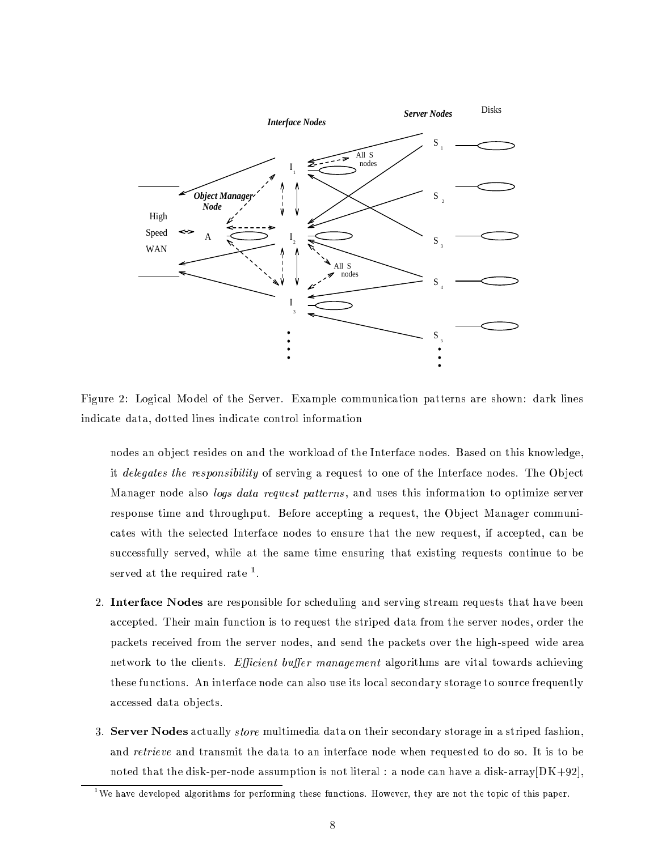

Figure 2: Logical Model of the Server. Example communication patterns are shown: dark lines indicate data, dotted lines indicate control information

nodes an object resides on and the workload of the Interface nodes. Based on this knowledge, it delegates the responsibility of serving a request to one of the Interface nodes. The Object Manager node also *logs data request patterns*, and uses this information to optimize server response time and throughput. Before accepting a request, the Object Manager communicates with the selected Interface nodes to ensure that the new request, if accepted, can be successfully served, while at the same time ensuring that existing requests continue to be served at the required rate  $<sup>1</sup>$ .</sup>

- 2. Interface Nodes are responsible for scheduling and serving stream requests that have been accepted. Their main function is to request the striped data from the server nodes, order the packets received from the server nodes, and send the packets over the high-speed wide area network to the clients. *Efficient buffer management* algorithms are vital towards achieving these functions. An interface node can also use its local secondary storage to source frequently accessed data objects.
- 3. Server Nodes actually *store* multimedia data on their secondary storage in a striped fashion, and *retrieve* and transmit the data to an interface node when requested to do so. It is to be noted that the disk-per-node assumption is not literal : a node can have a disk-array  $[DK+92]$ ,

<sup>&</sup>lt;sup>1</sup>We have developed algorithms for performing these functions. However, they are not the topic of this paper.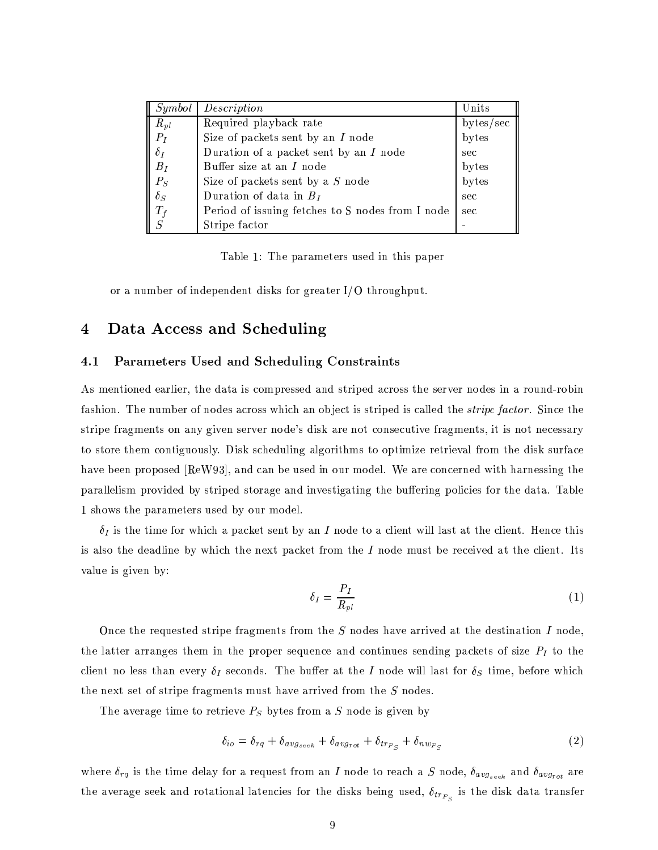| Symbol                      | Description                                      | Units     |
|-----------------------------|--------------------------------------------------|-----------|
| $R_{pl}$                    | Required playback rate                           | bytes/sec |
| $\mathcal{P}_{\mathcal{I}}$ | Size of packets sent by an $I$ node              | bytes     |
| $\delta_I$                  | Duration of a packet sent by an $I$ node         | sec       |
| $B_I$                       | Buffer size at an $I$ node                       | bytes     |
| $P_S$                       | Size of packets sent by a S node                 | bytes     |
| $\delta_S$                  | Duration of data in $B_I$                        | sec       |
| $T_f$                       | Period of issuing fetches to S nodes from I node | sec       |
| S                           | Stripe factor                                    |           |

Table 1: The parameters used in this paper

or a number of independent disks for greater  $I/O$  throughput.

### Data Access and Scheduling  $\overline{4}$

#### 4.1 Parameters Used and Scheduling Constraints

As mentioned earlier, the data is compressed and striped across the server nodes in a round-robin fashion. The number of nodes across which an object is striped is called the *stripe factor*. Since the stripe fragments on any given server node's disk are not consecutive fragments, it is not necessary to store them contiguously. Disk scheduling algorithms to optimize retrieval from the disk surface have been proposed [ReW93], and can be used in our model. We are concerned with harnessing the parallelism provided by striped storage and investigating the buffering policies for the data. Table 1 shows the parameters used by our model.

 $\delta_I$  is the time for which a packet sent by an I node to a client will last at the client. Hence this is also the deadline by which the next packet from the  $I$  node must be received at the client. Its value is given by:

$$
\delta_I = \frac{P_I}{R_{pl}}\tag{1}
$$

Once the requested stripe fragments from the  $S$  nodes have arrived at the destination  $I$  node, the latter arranges them in the proper sequence and continues sending packets of size  $P_I$  to the client no less than every  $\delta_I$  seconds. The buffer at the I node will last for  $\delta_S$  time, before which the next set of stripe fragments must have arrived from the S nodes.

The average time to retrieve  $P_S$  bytes from a S node is given by

$$
\delta_{io} = \delta_{rq} + \delta_{avg_{seek}} + \delta_{avg_{rot}} + \delta_{tr_{P_S}} + \delta_{nw_{P_S}} \tag{2}
$$

where  $\delta_{rq}$  is the time delay for a request from an I node to reach a S node,  $\delta_{avg_{seek}}$  and  $\delta_{avg_{rot}}$  are the average seek and rotational latencies for the disks being used,  $\delta_{tr_{P_S}}$  is the disk data transfer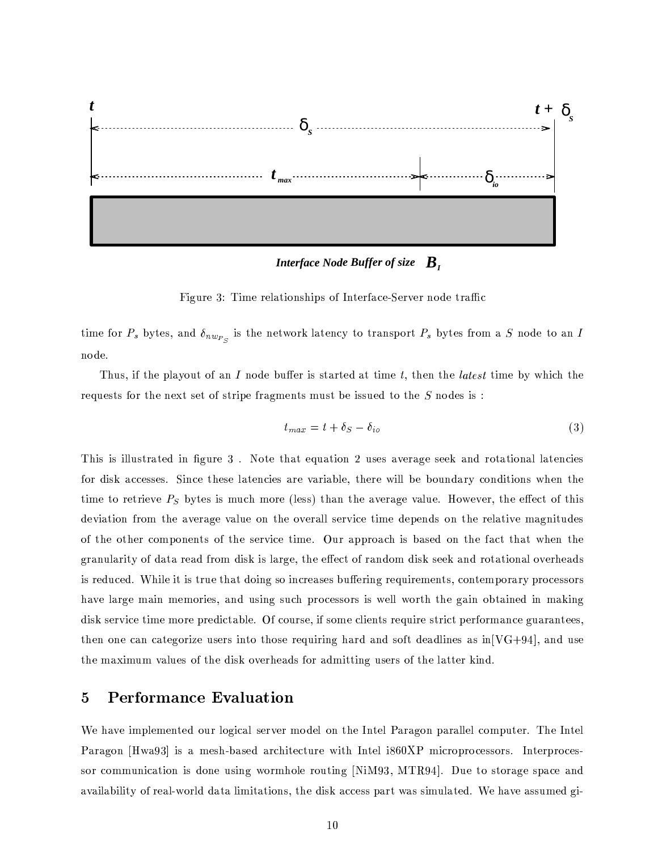

Figure 3: Time relationships of Interface-Server node traffic

time for  $P_s$  bytes, and  $\delta_{nw_{P_S}}$  is the network latency to transport  $P_s$  bytes from a S node to an I node.

Thus, if the playout of an I node buffer is started at time t, then the *latest* time by which the requests for the next set of stripe fragments must be issued to the  $S$  nodes is:

$$
t_{max} = t + \delta_S - \delta_{io} \tag{3}
$$

This is illustrated in figure 3. Note that equation 2 uses average seek and rotational latencies for disk accesses. Since these latencies are variable, there will be boundary conditions when the time to retrieve  $P<sub>S</sub>$  bytes is much more (less) than the average value. However, the effect of this deviation from the average value on the overall service time depends on the relative magnitudes of the other components of the service time. Our approach is based on the fact that when the granularity of data read from disk is large, the effect of random disk seek and rotational overheads is reduced. While it is true that doing so increases buffering requirements, contemporary processors have large main memories, and using such processors is well worth the gain obtained in making disk service time more predictable. Of course, if some clients require strict performance guarantees, then one can categorize users into those requiring hard and soft deadlines as  $\ln[\text{VG}+94]$ , and use the maximum values of the disk overheads for admitting users of the latter kind.

### **Performance Evaluation**  $\overline{5}$

We have implemented our logical server model on the Intel Paragon parallel computer. The Intel Paragon [Hwa93] is a mesh-based architecture with Intel i860XP microprocessors. Interprocessor communication is done using wormhole routing [NiM93, MTR94]. Due to storage space and availability of real-world data limitations, the disk access part was simulated. We have assumed gi-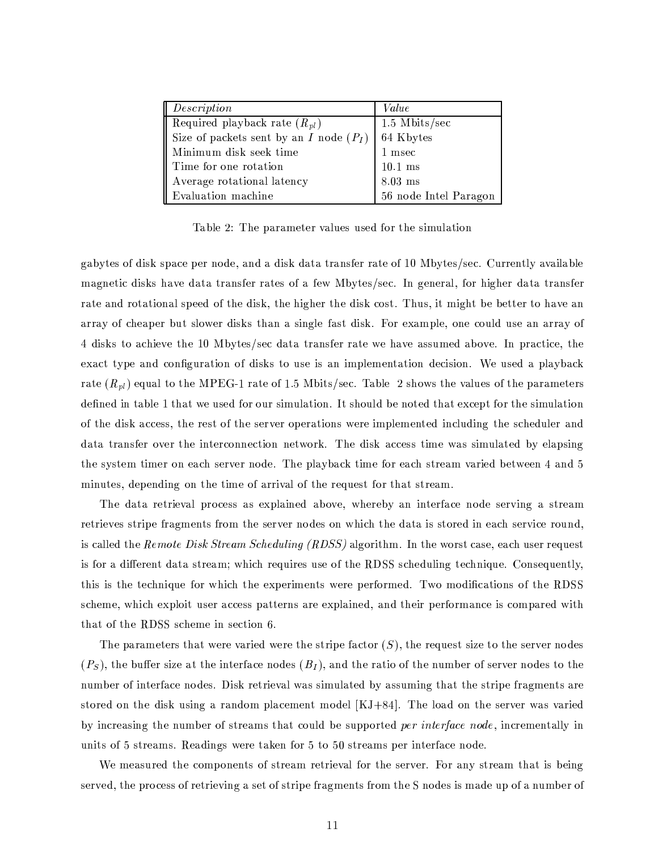| Description                                             | Value                 |  |
|---------------------------------------------------------|-----------------------|--|
| Required playback rate $(R_{pl})$                       | $1.5$ Mbits/sec       |  |
| Size of packets sent by an $I$ node $(P_I)$   64 Kbytes |                       |  |
| Minimum disk seek time                                  | $1$ msec              |  |
| Time for one rotation                                   | $10.1$ ms             |  |
| Average rotational latency                              | $8.03$ ms             |  |
| Evaluation machine                                      | 56 node Intel Paragon |  |

Table 2: The parameter values used for the simulation

gabytes of disk space per node, and a disk data transfer rate of 10 Mbytes/sec. Currently available magnetic disks have data transfer rates of a few Mbytes/sec. In general, for higher data transfer rate and rotational speed of the disk, the higher the disk cost. Thus, it might be better to have an array of cheaper but slower disks than a single fast disk. For example, one could use an array of 4 disks to achieve the 10 Mbytes/sec data transfer rate we have assumed above. In practice, the exact type and configuration of disks to use is an implementation decision. We used a playback rate  $(R_{pl})$  equal to the MPEG-1 rate of 1.5 Mbits/sec. Table 2 shows the values of the parameters defined in table 1 that we used for our simulation. It should be noted that except for the simulation of the disk access, the rest of the server operations were implemented including the scheduler and data transfer over the interconnection network. The disk access time was simulated by elapsing the system timer on each server node. The playback time for each stream varied between 4 and 5 minutes, depending on the time of arrival of the request for that stream.

The data retrieval process as explained above, whereby an interface node serving a stream retrieves stripe fragments from the server nodes on which the data is stored in each service round, is called the Remote Disk Stream Scheduling (RDSS) algorithm. In the worst case, each user request is for a different data stream; which requires use of the RDSS scheduling technique. Consequently, this is the technique for which the experiments were performed. Two modifications of the RDSS scheme, which exploit user access patterns are explained, and their performance is compared with that of the RDSS scheme in section 6.

The parameters that were varied were the stripe factor  $(S)$ , the request size to the server nodes  $(P<sub>S</sub>)$ , the buffer size at the interface nodes  $(B<sub>I</sub>)$ , and the ratio of the number of server nodes to the number of interface nodes. Disk retrieval was simulated by assuming that the stripe fragments are stored on the disk using a random placement model  $[KJ+84]$ . The load on the server was varied by increasing the number of streams that could be supported per interface node, incrementally in units of 5 streams. Readings were taken for 5 to 50 streams per interface node.

We measured the components of stream retrieval for the server. For any stream that is being served, the process of retrieving a set of stripe fragments from the S nodes is made up of a number of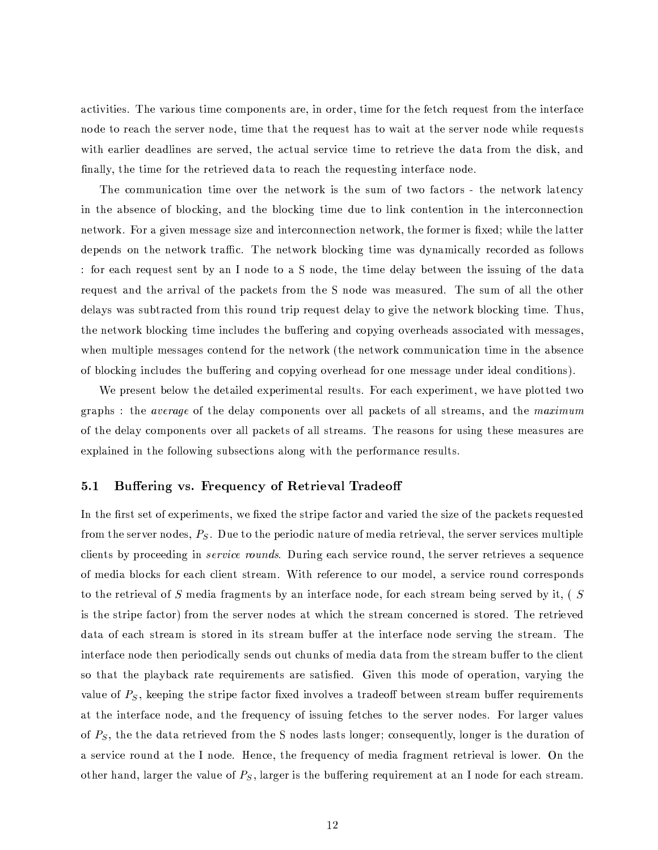activities. The various time components are, in order, time for the fetch request from the interface node to reach the server node, time that the request has to wait at the server node while requests with earlier deadlines are served, the actual service time to retrieve the data from the disk, and finally, the time for the retrieved data to reach the requesting interface node.

The communication time over the network is the sum of two factors - the network latency in the absence of blocking, and the blocking time due to link contention in the interconnection network. For a given message size and interconnection network, the former is fixed; while the latter depends on the network traffic. The network blocking time was dynamically recorded as follows : for each request sent by an I node to a S node, the time delay between the issuing of the data request and the arrival of the packets from the S node was measured. The sum of all the other delays was subtracted from this round trip request delay to give the network blocking time. Thus, the network blocking time includes the buffering and copying overheads associated with messages, when multiple messages contend for the network (the network communication time in the absence of blocking includes the buffering and copying overhead for one message under ideal conditions).

We present below the detailed experimental results. For each experiment, we have plotted two graphs: the *average* of the delay components over all packets of all streams, and the *maximum* of the delay components over all packets of all streams. The reasons for using these measures are explained in the following subsections along with the performance results.

#### $5.1$ Buffering vs. Frequency of Retrieval Tradeoff

In the first set of experiments, we fixed the stripe factor and varied the size of the packets requested from the server nodes,  $P<sub>S</sub>$ . Due to the periodic nature of media retrieval, the server services multiple clients by proceeding in *service rounds*. During each service round, the server retrieves a sequence of media blocks for each client stream. With reference to our model, a service round corresponds to the retrieval of S media fragments by an interface node, for each stream being served by it,  $(S$ is the stripe factor) from the server nodes at which the stream concerned is stored. The retrieved data of each stream is stored in its stream buffer at the interface node serving the stream. The interface node then periodically sends out chunks of media data from the stream buffer to the client so that the playback rate requirements are satisfied. Given this mode of operation, varying the value of  $P<sub>S</sub>$ , keeping the stripe factor fixed involves a tradeoff between stream buffer requirements at the interface node, and the frequency of issuing fetches to the server nodes. For larger values of  $P<sub>S</sub>$ , the the data retrieved from the S nodes lasts longer; consequently, longer is the duration of a service round at the I node. Hence, the frequency of media fragment retrieval is lower. On the other hand, larger the value of  $P<sub>S</sub>$ , larger is the buffering requirement at an I node for each stream.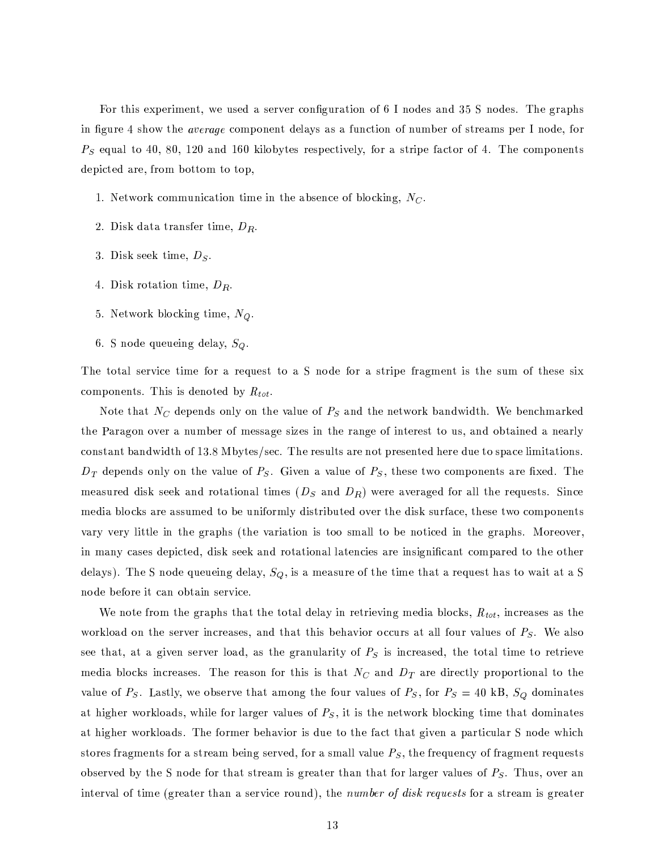For this experiment, we used a server configuration of 6 I nodes and 35 S nodes. The graphs in figure 4 show the *average* component delays as a function of number of streams per I node, for  $P<sub>S</sub>$  equal to 40, 80, 120 and 160 kilobytes respectively, for a stripe factor of 4. The components depicted are, from bottom to top,

- 1. Network communication time in the absence of blocking,  $N_C$ .
- 2. Disk data transfer time,  $D_R$ .
- 3. Disk seek time,  $D_S$ .
- 4. Disk rotation time,  $D_R$ .
- 5. Network blocking time,  $N_Q$ .
- 6. S node queueing delay,  $S_Q$ .

The total service time for a request to a S node for a stripe fragment is the sum of these six components. This is denoted by  $R_{tot}$ .

Note that  $N_C$  depends only on the value of  $P_S$  and the network bandwidth. We benchmarked the Paragon over a number of message sizes in the range of interest to us, and obtained a nearly constant bandwidth of 13.8 Mbytes/sec. The results are not presented here due to space limitations.  $D_T$  depends only on the value of  $P_S$ . Given a value of  $P_S$ , these two components are fixed. The measured disk seek and rotational times  $(D_S \text{ and } D_R)$  were averaged for all the requests. Since media blocks are assumed to be uniformly distributed over the disk surface, these two components vary very little in the graphs (the variation is too small to be noticed in the graphs. Moreover, in many cases depicted, disk seek and rotational latencies are insignificant compared to the other delays). The S node queueing delay,  $S_Q$ , is a measure of the time that a request has to wait at a S node before it can obtain service.

We note from the graphs that the total delay in retrieving media blocks,  $R_{tot}$ , increases as the workload on the server increases, and that this behavior occurs at all four values of  $P<sub>S</sub>$ . We also see that, at a given server load, as the granularity of  $P<sub>S</sub>$  is increased, the total time to retrieve media blocks increases. The reason for this is that  $N_C$  and  $D_T$  are directly proportional to the value of P<sub>S</sub>. Lastly, we observe that among the four values of P<sub>S</sub>, for  $P_S = 40$  kB, S<sub>Q</sub> dominates at higher workloads, while for larger values of  $P<sub>S</sub>$ , it is the network blocking time that dominates at higher workloads. The former behavior is due to the fact that given a particular S node which stores fragments for a stream being served, for a small value  $P_S$ , the frequency of fragment requests observed by the S node for that stream is greater than that for larger values of  $P_S$ . Thus, over an interval of time (greater than a service round), the *number of disk requests* for a stream is greater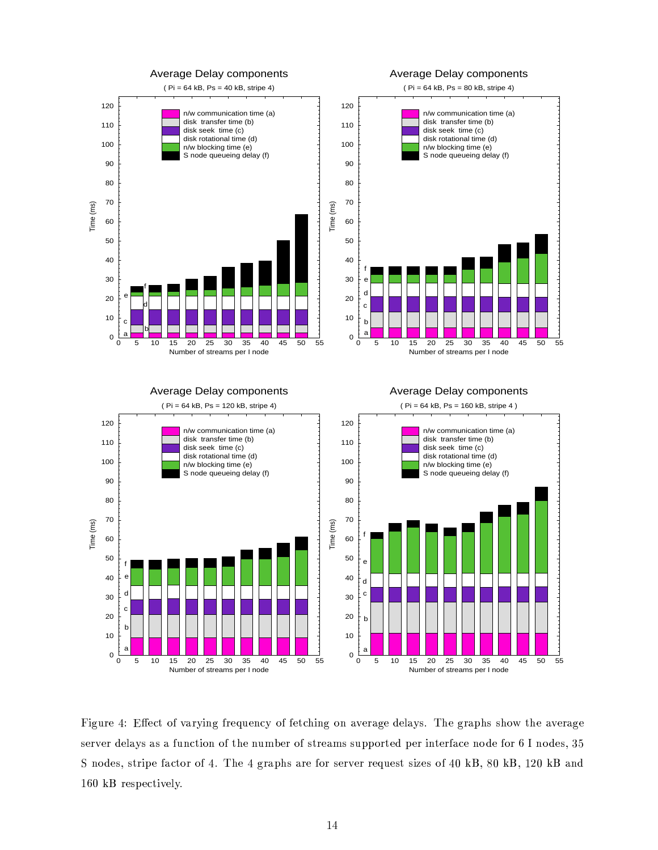

µ±\$'&!B?67I ·I/CV)R1(4F(\*(67<9\$'2?&Q4S67I/9B?IK2 CV<=144SIK)CEDJ\$'2?&M1!2k\*,F!IK6V\*(&!I 8JIV+H\*,<P@KfRXD?I &96\*(]?D @R@0D?1(W¹)7D?IA\*,F!IK6\*(&!I @0IK67F9IK68JIV+H\*,<?@¥\*9@¥\*4^B?2 CV)0\$'1!2M1(45)ED?I2JB?cAT IK6d1(4@0)767I/\*(cQ@@0B?]?]O1!67)7I/8Q]OIK6\$'2J)7IK604\_\*!CVIb2?1?8JIR4S1!6 # 2?1?8JI/@KN !  $\overline{C}$  1 a for a fxxd and a fxxd and a fxxd and a fxxd and a fxxd and a fxxd and a fxxd and a fxxd and a fxxd and a fxxd and a fxxd and a fxxd and a fxxd and a fxxd and a fxxd and a fxxd and a fxxd and a fxxd and a fxxd  $160$  kB respectively.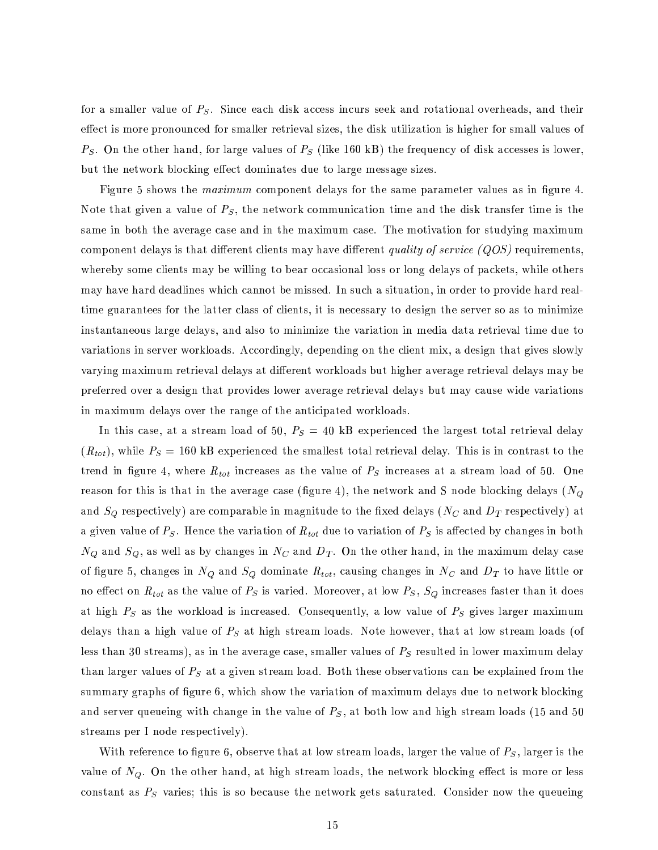for a smaller value of  $P<sub>S</sub>$ . Since each disk access incurs seek and rotational overheads, and their effect is more pronounced for smaller retrieval sizes, the disk utilization is higher for small values of  $P_S$ . On the other hand, for large values of  $P_S$  (like 160 kB) the frequency of disk accesses is lower, but the network blocking effect dominates due to large message sizes.

Figure 5 shows the *maximum* component delays for the same parameter values as in figure 4. Note that given a value of  $P_S$ , the network communication time and the disk transfer time is the same in both the average case and in the maximum case. The motivation for studying maximum component delays is that different clients may have different *quality of service (QOS)* requirements, whereby some clients may be willing to bear occasional loss or long delays of packets, while others may have hard deadlines which cannot be missed. In such a situation, in order to provide hard realtime guarantees for the latter class of clients, it is necessary to design the server so as to minimize instantaneous large delays, and also to minimize the variation in media data retrieval time due to variations in server workloads. Accordingly, depending on the client mix, a design that gives slowly varying maximum retrieval delays at different workloads but higher average retrieval delays may be preferred over a design that provides lower average retrieval delays but may cause wide variations in maximum delays over the range of the anticipated workloads.

In this case, at a stream load of 50,  $P_S = 40$  kB experienced the largest total retrieval delay  $(R_{tot})$ , while  $P_S = 160$  kB experienced the smallest total retrieval delay. This is in contrast to the trend in figure 4, where  $R_{tot}$  increases as the value of  $P_S$  increases at a stream load of 50. One reason for this is that in the average case (figure 4), the network and S node blocking delays ( $N_Q$ and  $S_Q$  respectively) are comparable in magnitude to the fixed delays ( $N_C$  and  $D_T$  respectively) at a given value of  $P_S$ . Hence the variation of  $R_{tot}$  due to variation of  $P_S$  is affected by changes in both  $N_Q$  and  $S_Q$ , as well as by changes in  $N_C$  and  $D_T$ . On the other hand, in the maximum delay case of figure 5, changes in  $N_Q$  and  $S_Q$  dominate  $R_{tot}$ , causing changes in  $N_C$  and  $D_T$  to have little or no effect on  $R_{tot}$  as the value of  $P_S$  is varied. Moreover, at low  $P_S$ ,  $S_Q$  increases faster than it does at high  $P_S$  as the workload is increased. Consequently, a low value of  $P_S$  gives larger maximum delays than a high value of  $P<sub>S</sub>$  at high stream loads. Note however, that at low stream loads (of less than 30 streams), as in the average case, smaller values of  $P<sub>S</sub>$  resulted in lower maximum delay than larger values of  $P<sub>S</sub>$  at a given stream load. Both these observations can be explained from the summary graphs of figure 6, which show the variation of maximum delays due to network blocking and server queueing with change in the value of  $P<sub>S</sub>$ , at both low and high stream loads (15 and 50) streams per I node respectively).

With reference to figure 6, observe that at low stream loads, larger the value of  $P_S$ , larger is the value of  $N_Q$ . On the other hand, at high stream loads, the network blocking effect is more or less constant as  $P<sub>S</sub>$  varies; this is so because the network gets saturated. Consider now the queueing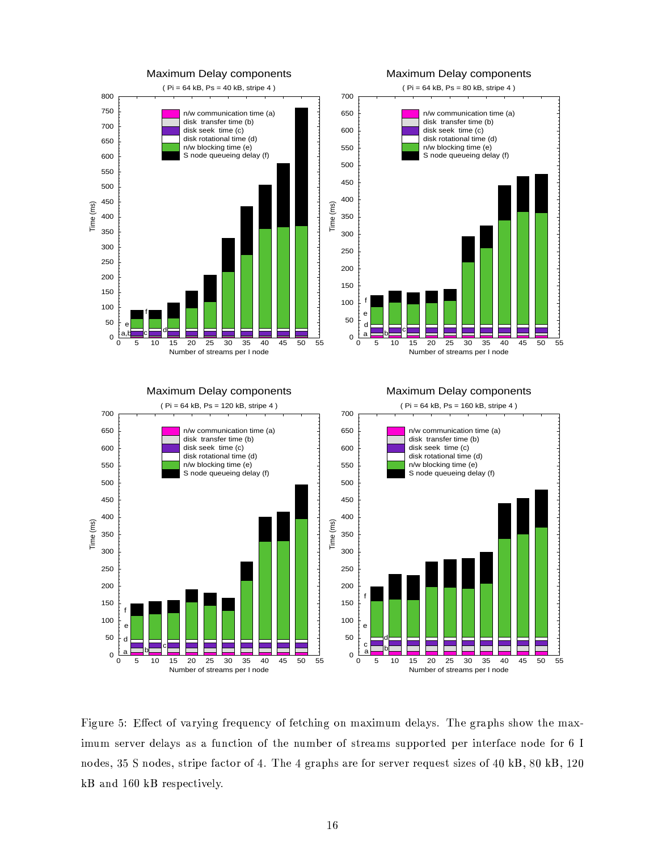

µ±\$'&!B?67I !? ·I/CV)d1(4F(\*(67<9\$'2?&Q4S67I/9B?IK2 CV<=1454^IK)CEDJ\$:2?&M192=cL\*,J\$'cAB?c 8JIV+H\*,<P@¦fXD?IA&!6\*]?D @d@0D?1(W¹)ED?I cL\*,?\ \$'cAB?c @;IK67F!IK68JIV+H\*,<?@\*9@ \*Q4^B?2 CV)0\$'1!21(4)7D?I2[B?cAT IK6A1(4@0)E67I/\*(cL@Z@0B?]?] 1!6E)7I/8¨]OIK6Z\$:2J)7IK604\_\*!CVI>2?1?8JIQ4^1!6 # 2. Ali ambarata ang pangalang pangalang pangalang pangalang pangalang pangalang pangalang pangalang pangalang Y? \*2 8 <sup>I</sup> # Y?»67I/@0] I/CV);\$:F9IV+:<!f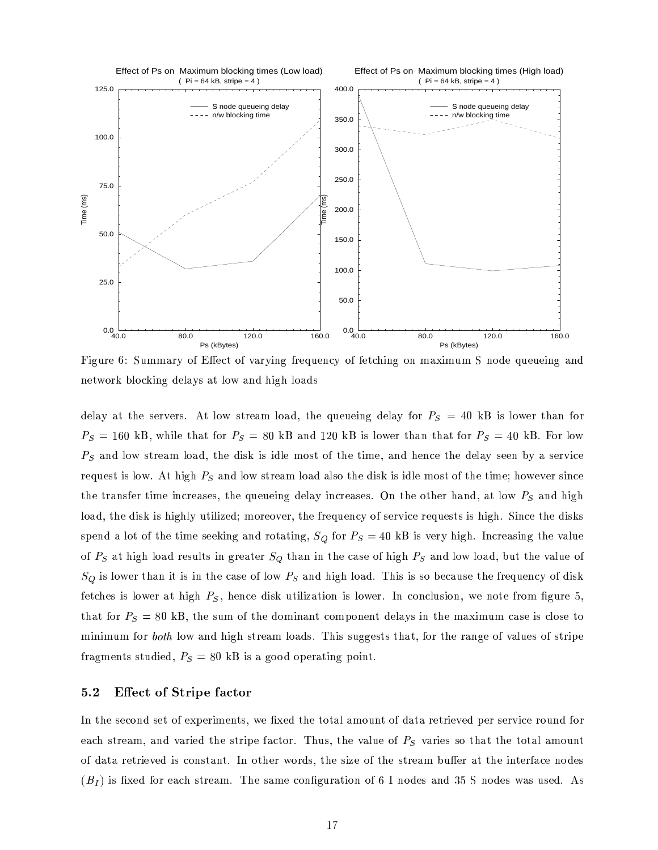

 $\mathbf{D}^t:=\mathbf{C}^t\mathbf{C}^t=\mathbf{C}^t\mathbf{D}^t\mathbf{C}^t=\mathbf{C}^t\mathbf{C}^t=\mathbf{C}^t\mathbf{C}^t=\mathbf{C}^t\mathbf{C}^t=\mathbf{C}^t\mathbf{C}^t=\mathbf{C}^t\mathbf{C}^t$ network blocking delays at low and high loads

8JIV-H\*, 1(200) +:1(W @;)767I/\*(24^2)1\_1JIV +:1/M & D. In France (24^2)101. In France (24^2)101. In France (24 , you'r lil an enir leatrul lil an uirr ri ¨\*(2 8+'1²W @;)767I/\*(c¢+'1[\*!8°N±)7D?I>89\$H@0Y3\$@´\$H89+:IQc>1[@;)1(4X)7D?IA)0\$'c>I!N5\*2 8`D?IK2 CVI>)7D?I>8JIV+H\*,< @;IKIK2¨T[<`\*M@0IK67F9\$HCVI 67I/9B?I/@0)\$H@¤+'1(W fgd)GDJ\$:&9D \*2 8A+'1(W @0)E67I/\*(c +'1[\*98>\*,+H@01A)7D?I89\$H@0Y\$H@\$H89+'Ibc>1[@;)1(45)7D?Id);\$:cI [D?1(WXIKF!IK6X@\$'2 CVI )7D?IZ)76\*(2 @4^IK6R)0\$'c>IZ\$:2 CV6EI/\*!@0I/@KN°)7D?IA!B?IKB?IV\$'2?&`8JIV+\*,<\$:2 CV6EI/\*!@0I/@Kf d2`)7D?I 19)7D?IK6D \*2 8°N\*()d+'1(W \*(2 8DJ\$:&9D load, the disk is highly utilized; moreover, the frequency of service requests is high. Since the disks @0]OIK2 8=\*Z+'1!)d145)7D?Ib)0\$'c>IA@0IKIKY!\$'2?&L\*2 8M671!)V\*()0\$'2?& N 4S1!6 YP¸\$H@XF!IK67<QDJ\$'&!DfG\_2 CV67I/\*!@a\$:2?&Q)7D?IbF(\*,+'B?I (40 ) 41 ) 42 (40 ) 42 (41 ) 42 (41 ) 42 (42 ) 42 (42 ) 42 (42 ) 42 (42 ) 42 (42 ) 42 (42 ) 42 (42 ) 42 (42 ) 42 (42 ) 42 (42 ) 42 (42 ) 42 (42 ) 42 (42 ) 42 (42 ) 42 (42 ) 42 (42 ) 42 (42 ) 42 (42 ) 42 (42 ) 42 (42 ) 42 (4 \$H@X+'1(WXIK6¥)ED \*(2>\$')X\$H@\$'2M)7D?I CK\*!@0Ib1(4±+:1(W \*(2 8QDJ\$'&!DQ+'1[\*!8°fGXDJ\$H@G\$H@@01ATOI/CK\*(B @0I )ED?Id4^67I/9B?IK2 CV<M1(489\$H@0Y  $\blacksquare$ )7D \*()4S1!6 & YPRN?)7D?IA@0B?c1(4)ED?I 8J1!cA\$'2 \*(2J)´CV1!c] 1!2?IK2J)´8JIV+H\*,<?@X\$'2=)ED?I cL\*,J\$'cAB?c CK\*!@;IR\$@RCE+'1[@0IA)71 \*\* ^7.11 11.1.11 m1. .10.101  $A$  and  $A$  if  $\blacksquare$  and  $A$  and  $\blacksquare$ 

# 5 J- 5! % 7J

\_2M)ED?I @0I/CV1!2 8M@0IK)d145IVP]OIK60\$'c>IK2J)@KN?WXIR??I/8Q)7D?Ib)71!)\*²+\*(c>19B?2[)X1(48?\*)\*Z67IK)760\$'IKF!I/8Q]OIK6@0IK67F9\$HCVI 671!B?2 84^1!6 . I.C. III.a American III.am . I.C. IV . (1) TII.AI 100 I.A  $\mathcal{A}$  , and as a define a define a define a define a define a define a define a define a define a define a define a define a define a define a define a define a define a define a define a define a define a define a def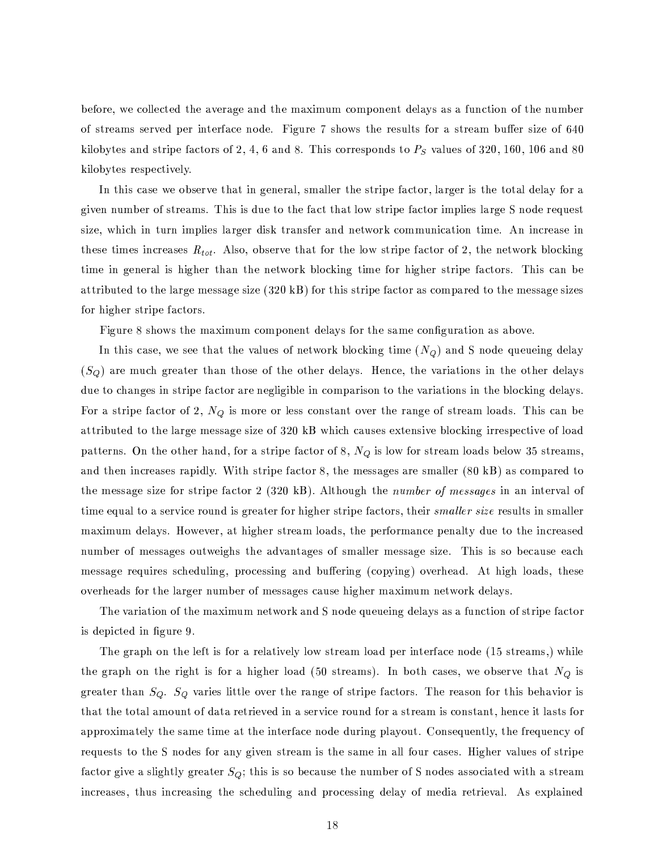before, we collected the average and the maximum component delays as a function of the number of streams served per interface node. Figure 7 shows the results for a stream buffer size of 640 kilobytes and stripe factors of 2, 4, 6 and 8. This corresponds to  $P<sub>S</sub>$  values of 320, 160, 106 and 80 kilobytes respectively.

In this case we observe that in general, smaller the stripe factor, larger is the total delay for a given number of streams. This is due to the fact that low stripe factor implies large S node request size, which in turn implies larger disk transfer and network communication time. An increase in these times increases  $R_{tot}$ . Also, observe that for the low stripe factor of 2, the network blocking time in general is higher than the network blocking time for higher stripe factors. This can be attributed to the large message size  $(320 \text{ k})$  for this stripe factor as compared to the message sizes for higher stripe factors.

Figure 8 shows the maximum component delays for the same configuration as above.

In this case, we see that the values of network blocking time  $(N_Q)$  and S node queueing delay  $(S_Q)$  are much greater than those of the other delays. Hence, the variations in the other delays due to changes in stripe factor are negligible in comparison to the variations in the blocking delays. For a stripe factor of 2,  $N_Q$  is more or less constant over the range of stream loads. This can be attributed to the large message size of 320 kB which causes extensive blocking irrespective of load patterns. On the other hand, for a stripe factor of 8,  $N_Q$  is low for stream loads below 35 streams, and then increases rapidly. With stripe factor 8, the messages are smaller (80 kB) as compared to the message size for stripe factor 2 (320 kB). Although the *number of messages* in an interval of time equal to a service round is greater for higher stripe factors, their *smaller size* results in smaller maximum delays. However, at higher stream loads, the performance penalty due to the increased number of messages outweighs the advantages of smaller message size. This is so because each message requires scheduling, processing and buffering (copying) overhead. At high loads, these overheads for the larger number of messages cause higher maximum network delays.

The variation of the maximum network and S node queueing delays as a function of stripe factor is depicted in figure 9.

The graph on the left is for a relatively low stream load per interface node (15 streams,) while the graph on the right is for a higher load (50 streams). In both cases, we observe that  $N_Q$  is greater than  $S_Q$ .  $S_Q$  varies little over the range of stripe factors. The reason for this behavior is that the total amount of data retrieved in a service round for a stream is constant, hence it lasts for approximately the same time at the interface node during playout. Consequently, the frequency of requests to the S nodes for any given stream is the same in all four cases. Higher values of stripe factor give a slightly greater  $S_Q$ ; this is so because the number of S nodes associated with a stream increases, thus increasing the scheduling and processing delay of media retrieval. As explained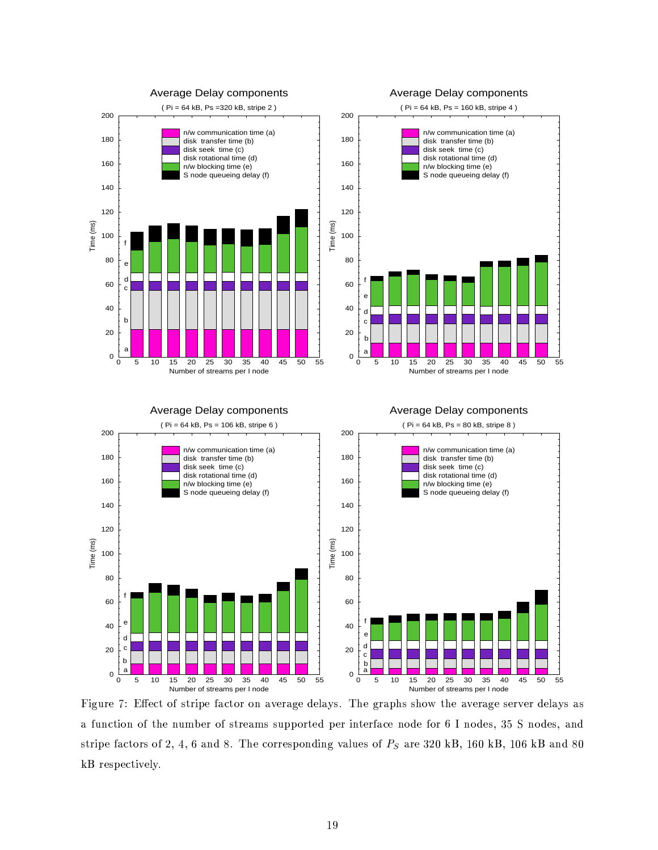

\*4^B?2 CV)0\$'1!2¨1(4X)7D?IA2[B?cAT IK6Z1(4¥@0)76EI/\*(cL@b@0B?]?]O1!67)7I/8`]OIK6R\$'2[)7IK6;4\*!CVI2?1P8JIA4^1!6 # 2?1?8JI/@KN !MÀ32?1P8JI/@KN\*(2 8 . A subo is mutually in a home seath inding its learning the same of the same of the same of the same of the same of the same of the same of the same of the same of the same of the same of the same of the same of the same  $kB$  respectively.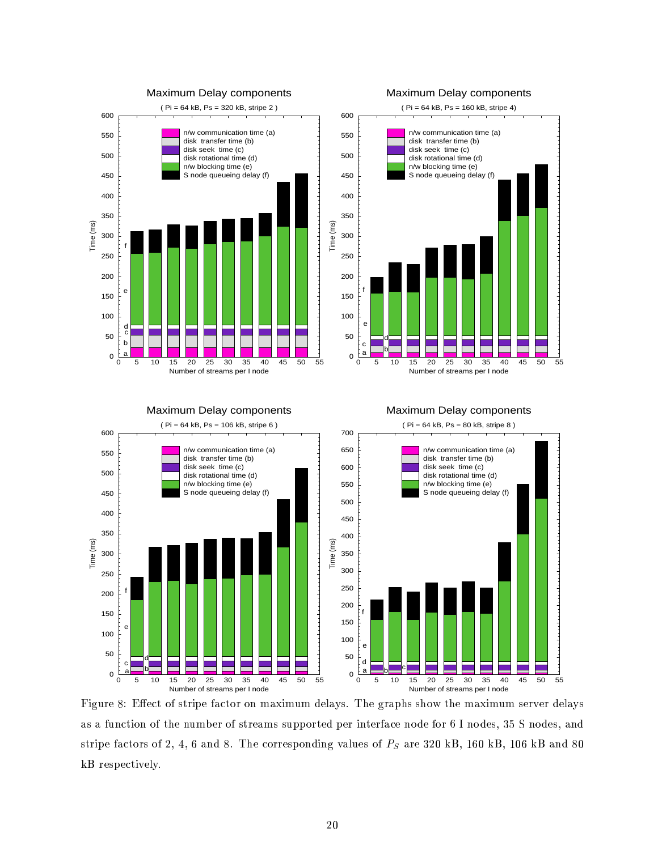

µ±\$'&!B?67I &? ·I/CV)X1(45@0)760\$']OIR4\*!CV)E1!61!2QcL\*,J\$'cAB?c 8JIV+H\*,<?@KfXD?Ib&!6V\*(]?D @@0D?1(W®)7D?IRcL\*,J\$'cB?c@0IK6EF!IK6d8JIV+\*,<?@  $\blacksquare$ . A subo is mutually in a home seath inding its learning the same of the same of the same of the same of the same of the same of the same of the same of the same of the same of the same of the same of the same of the same  $kB$  respectively.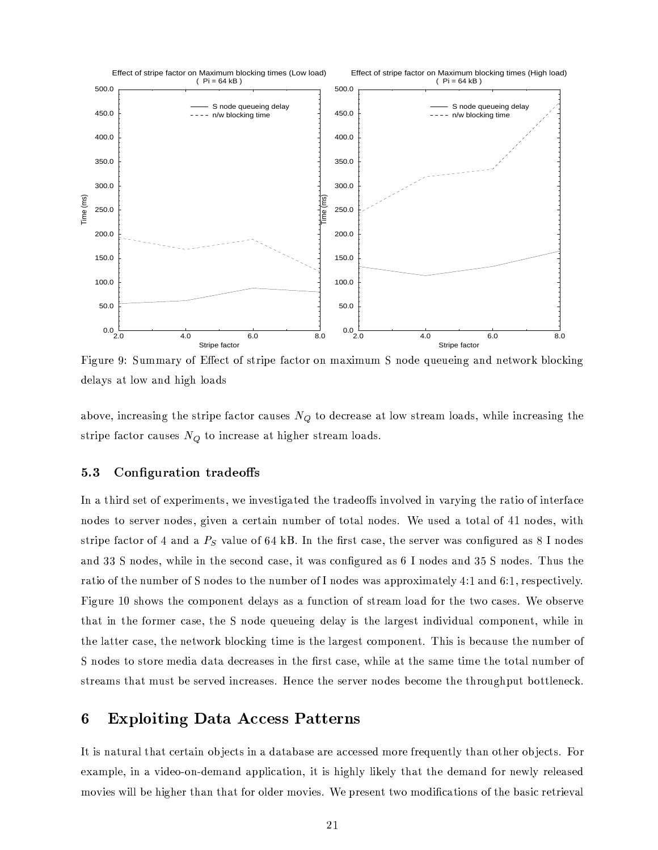

Figure 9: Summary of Effect of stripe factor on maximum S node queueing and network blocking delays at low and high loads

above, increasing the stripe factor causes  $N_Q$  to decrease at low stream loads, while increasing the stripe factor causes  $N_Q$  to increase at higher stream loads.

#### $5.3$ Configuration tradeoffs

In a third set of experiments, we investigated the tradeoffs involved in varying the ratio of interface nodes to server nodes, given a certain number of total nodes. We used a total of 41 nodes, with stripe factor of 4 and a  $P_S$  value of 64 kB. In the first case, the server was configured as 8 I nodes and 33 S nodes, while in the second case, it was configured as 6 I nodes and 35 S nodes. Thus the ratio of the number of S nodes to the number of I nodes was approximately 4:1 and 6:1, respectively. Figure 10 shows the component delays as a function of stream load for the two cases. We observe that in the former case, the S node queueing delay is the largest individual component, while in the latter case, the network blocking time is the largest component. This is because the number of S nodes to store media data decreases in the first case, while at the same time the total number of streams that must be served increases. Hence the server nodes become the throughput bottleneck.

### **Exploiting Data Access Patterns** 6

It is natural that certain objects in a database are accessed more frequently than other objects. For example, in a video-on-demand application, it is highly likely that the demand for newly released movies will be higher than that for older movies. We present two modifications of the basic retrieval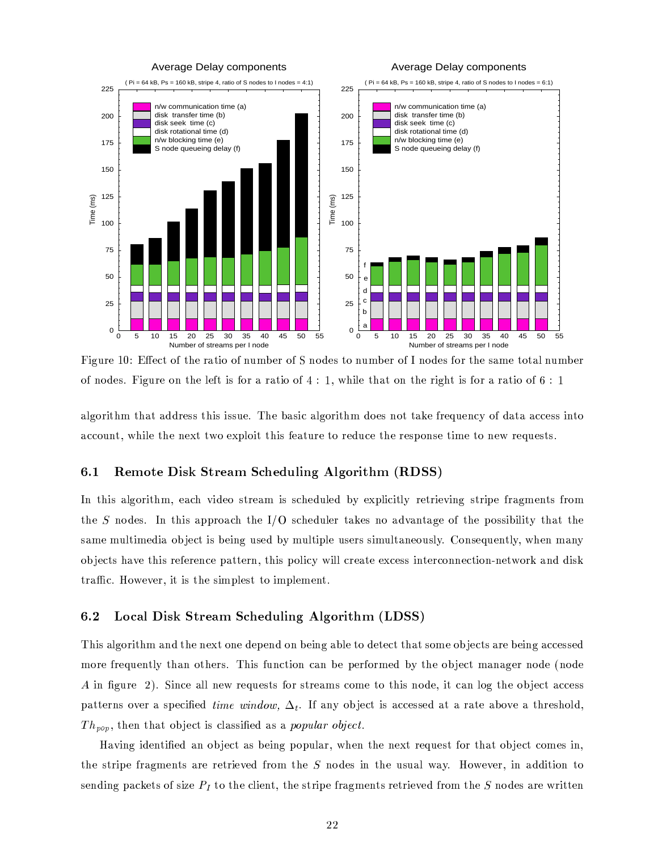

10D.40D.ICCL/(10)7D?JI/CATOIK6X14Å1 1(42?1P8JI/@¦fµ±\$'&!B?67I 192M)7D?IR+'IV4S)%\$H@G4S196\*A6\*();\$:1A1(4 <sup>I</sup> N[W%DJ\$U+'IA)7D \*()%1!2M)7D?Ib60\$'&!DJ)X\$H@X4^1!6d\*A6\*)0\$'1>1(4 # <sup>I</sup>

\*,+'&!1!6;\$:)ED?c)7D \*()d\*!8?8J67I/@E@X)7DJ\$H@X\$H@7@;B?I!f¥XD?IbT \*9@\$HC \*,+'&!1!6;\$:)ED?c 8J1[I/@2?1!)d)\*(Y9Id4^67I/9B?IK2 CV<M1(48?\*()\*\*!CKCVI/@7@G\$'2J)71 \*!CKCV1!B?2J)/N?W%DJ\$U+'IZ)7D?I 2?IV?)d)0WX1IV?]J+'1(\$'))EDJ\$@4^I/\*()7B?67IR)71>67I/8JB CVIZ)7D?Ib67I/@0]O1!2 @0IZ)0\$'c>I )71A2?IKW 67I/9B?I/@0)@Kf

# 6.1 Remote Disk Stream Scheduling Algorithm (RDSS)

In this algorithm, each video stream is scheduled by explicitly retrieving stripe fragments from )7D?I ¼2?1P8JI/@¦f`\_2¡)7DJ\$H@A\*(]?]?671[\*9C7D)7D?IQ7Á @7CED?I/8JBJ+'IK6>)\*(Y9I/@ 2?1¨\*!8JF(\*(2J)\*(&!I>14)7D?IQ] 1[@7@a\$:TJ\$-+-\$')0<¡)7D \*()A)7D?I same multimedia object is being used by multiple users simultaneously. Consequently, when many objects have this reference pattern, this policy will create excess interconnection-network and disk )76\*²C(f d1(WXIKF!IK6/N9\$')X\$H@d)ED?I @\$'c>]J+'I/@0)b)71Z\$'c>]J+'IKc>IK2[),f

# 6.2 Local Disk Stream Scheduling Algorithm (LDSS)

XDJ\$H@\*,+'&!1!60\$')7D?c \*(2 8b)ED?I2?IV?)51!2?IX8JIK] IK2 8Z1!2ZT IV\$'2?& \*(TJ+'I)71R8JIK)7I/CV)5)ED \*()5@01!cI1!T?£0I/CV)@\*67IT IV\$'2?& \*!CKCVI/@7@;I/8 c>1!6EI 4^67I/9B?IK2[);+:<3)7D \*(2`1!)7D?IK6V@KfDJ\$@%4^B?2 CV)0\$'1!2¯CK\*2kTOI>] IK6;4S1!6Ec>I/8`TJ<=)7D?IA1!T?£0I/CV)RcL\*(2 \*(&!IK6b2?1?8JIM\_2?1?8JI º\$'23 &!B?67I JVfbÀ(\$'2 CVIL\*,+-+2?IKW¹67I/9B?I/@0)@%4^1!6@;)767I/\*(cL@RCV1!c>IZ)71Q)7DJ\$H@d2?1?8JI!NO\$') CK\*(2M+'1!&M)7D?IZ1!T?£0I/CV)´\*9CKCVI/@7@  $\overline{\phantom{a}1}$  fa the factor in the factor in the factor in the factor in the factor in the factor in the factor in the factor in the factor in the factor in the factor in the factor in the factor in the factor in the fact 
 [N[)ED?IK2=)7D \*()%1!T?£0I/CV)\$H@RCE+H\*!@7@\$- I/8`\*!@d\* §Py«§j[lu!zZy[©rªKsV¬/o <sup>f</sup>

Having identified an object as being popular, when the next request for that object comes in, the stripe fragments are retrieved from the S nodes in the usual way. However, in addition to @0IK2 89\$'2?&>] \*!CEY!IK)@14±@a\$:.KI )71Z)7D?ICE+-\$'IK2[),N?)7D?I@0)E60\$'] I%4S6\*&!c>IK2J)@67IK)760\$'IKF!I/84^671!c )ED?I k2?1?8JI/@X\*(67IdW%60\$')7)7IK2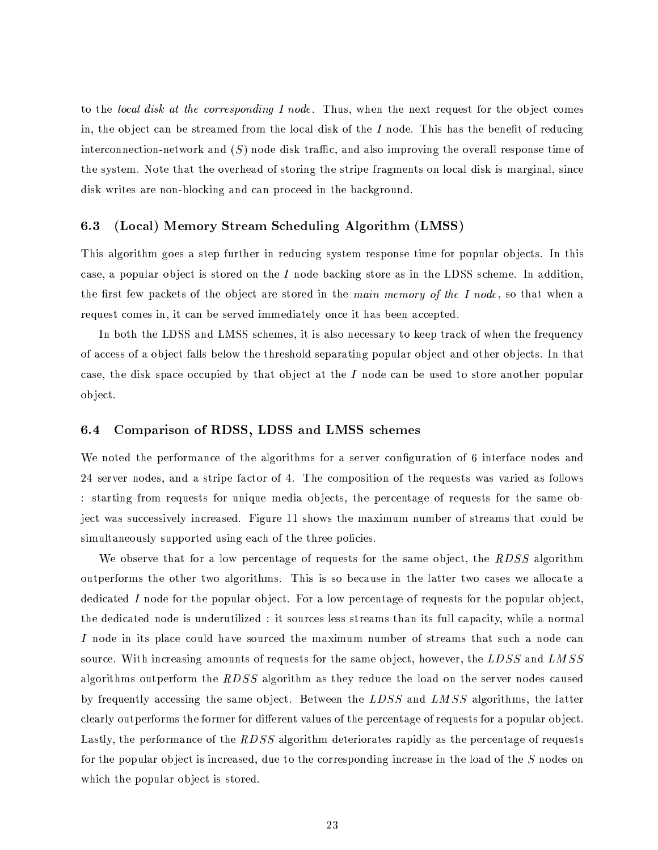to the local disk at the corresponding I node. Thus, when the next request for the object comes in, the object can be streamed from the local disk of the  $I$  node. This has the benefit of reducing interconnection-network and  $(S)$  node disk traffic, and also improving the overall response time of the system. Note that the overhead of storing the stripe fragments on local disk is marginal, since disk writes are non-blocking and can proceed in the background.

#### (Local) Memory Stream Scheduling Algorithm (LMSS)  $6.3$

This algorithm goes a step further in reducing system response time for popular objects. In this case, a popular object is stored on the I node backing store as in the LDSS scheme. In addition, the first few packets of the object are stored in the main memory of the I node, so that when a request comes in, it can be served immediately once it has been accepted.

In both the LDSS and LMSS schemes, it is also necessary to keep track of when the frequency of access of a object falls below the threshold separating popular object and other objects. In that case, the disk space occupied by that object at the  $I$  node can be used to store another popular object.

#### $6.4$ Comparison of RDSS, LDSS and LMSS schemes

We noted the performance of the algorithms for a server configuration of 6 interface nodes and 24 server nodes, and a stripe factor of 4. The composition of the requests was varied as follows : starting from requests for unique media objects, the percentage of requests for the same object was successively increased. Figure 11 shows the maximum number of streams that could be simultaneously supported using each of the three policies.

We observe that for a low percentage of requests for the same object, the  $RDSS$  algorithm outperforms the other two algorithms. This is so because in the latter two cases we allocate a dedicated I node for the popular object. For a low percentage of requests for the popular object, the dedicated node is underutilized: it sources less streams than its full capacity, while a normal I node in its place could have sourced the maximum number of streams that such a node can source. With increasing amounts of requests for the same object, however, the LDSS and LMSS algorithms outperform the  $RDSS$  algorithm as they reduce the load on the server nodes caused by frequently accessing the same object. Between the LDSS and LMSS algorithms, the latter clearly outperforms the former for different values of the percentage of requests for a popular object. Lastly, the performance of the RDSS algorithm deteriorates rapidly as the percentage of requests for the popular object is increased, due to the corresponding increase in the load of the  $S$  nodes on which the popular object is stored.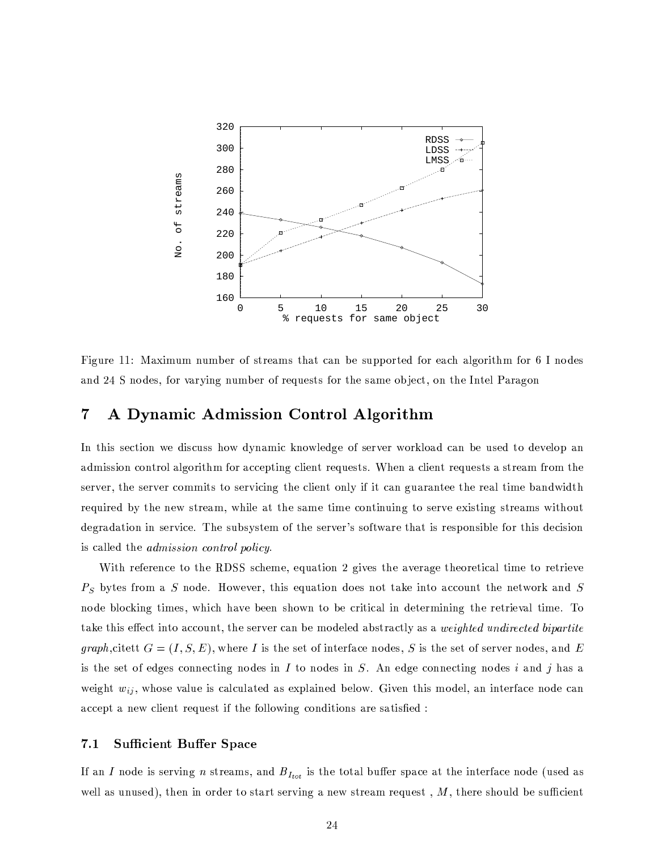

Figure 11: Maximum number of streams that can be supported for each algorithm for 6 I nodes and 24 S nodes, for varying number of requests for the same object, on the Intel Paragon

### A Dynamic Admission Control Algorithm  $\overline{7}$

In this section we discuss how dynamic knowledge of server workload can be used to develop an admission control algorithm for accepting client requests. When a client requests a stream from the server, the server commits to servicing the client only if it can guarantee the real time bandwidth required by the new stream, while at the same time continuing to serve existing streams without degradation in service. The subsystem of the server's software that is responsible for this decision is called the *admission control policy*.

With reference to the RDSS scheme, equation 2 gives the average theoretical time to retrieve  $P<sub>S</sub>$  bytes from a S node. However, this equation does not take into account the network and S node blocking times, which have been shown to be critical in determining the retrieval time. To take this effect into account, the server can be modeled abstractly as a *weighted undirected bipartite* graph, citett  $G = (I, S, E)$ , where I is the set of interface nodes, S is the set of server nodes, and E is the set of edges connecting nodes in  $I$  to nodes in  $S$ . An edge connecting nodes i and j has a weight  $w_{ij}$ , whose value is calculated as explained below. Given this model, an interface node can accept a new client request if the following conditions are satisfied :

#### $7.1$ **Sufficient Buffer Space**

If an I node is serving n streams, and  $B_{I_{tot}}$  is the total buffer space at the interface node (used as well as unused), then in order to start serving a new stream request,  $M$ , there should be sufficient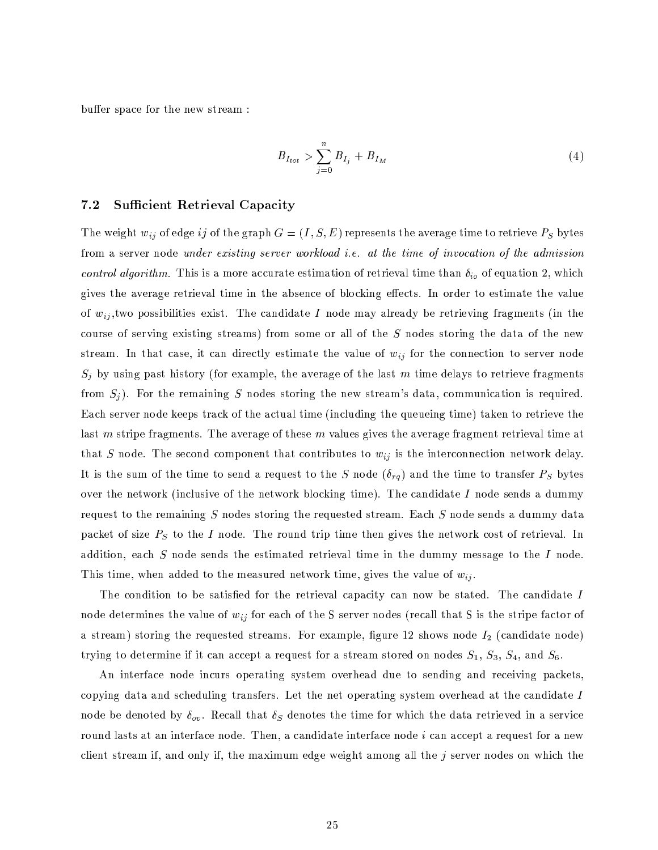buffer space for the new stream:

$$
B_{I_{tot}} > \sum_{j=0}^{n} B_{I_j} + B_{I_M} \tag{4}
$$

#### $7.2$ **Sufficient Retrieval Capacity**

The weight  $w_{ij}$  of edge ij of the graph  $G = (I, S, E)$  represents the average time to retrieve  $P_S$  bytes from a server node under existing server workload i.e. at the time of invocation of the admission control algorithm. This is a more accurate estimation of retrieval time than  $\delta_{io}$  of equation 2, which gives the average retrieval time in the absence of blocking effects. In order to estimate the value of  $w_{ij}$ , two possibilities exist. The candidate I node may already be retrieving fragments (in the course of serving existing streams) from some or all of the S nodes storing the data of the new stream. In that case, it can directly estimate the value of  $w_{ij}$  for the connection to server node  $S_j$  by using past history (for example, the average of the last m time delays to retrieve fragments from  $S_i$ ). For the remaining S nodes storing the new stream's data, communication is required. Each server node keeps track of the actual time (including the queueing time) taken to retrieve the last m stripe fragments. The average of these m values gives the average fragment retrieval time at that S node. The second component that contributes to  $w_{ij}$  is the interconnection network delay. It is the sum of the time to send a request to the S node  $(\delta_{rq})$  and the time to transfer  $P_S$  bytes over the network (inclusive of the network blocking time). The candidate  $I$  node sends a dummy request to the remaining S nodes storing the requested stream. Each S node sends a dummy data packet of size  $P<sub>S</sub>$  to the I node. The round trip time then gives the network cost of retrieval. In addition, each S node sends the estimated retrieval time in the dummy message to the I node. This time, when added to the measured network time, gives the value of  $w_{ij}$ .

The condition to be satisfied for the retrieval capacity can now be stated. The candidate I node determines the value of  $w_{ij}$  for each of the S server nodes (recall that S is the stripe factor of a stream) storing the requested streams. For example, figure 12 shows node  $I_2$  (candidate node) trying to determine if it can accept a request for a stream stored on nodes  $S_1$ ,  $S_3$ ,  $S_4$ , and  $S_6$ .

An interface node incurs operating system overhead due to sending and receiving packets, copying data and scheduling transfers. Let the net operating system overhead at the candidate I node be denoted by  $\delta_{ov}$ . Recall that  $\delta_S$  denotes the time for which the data retrieved in a service round lasts at an interface node. Then, a candidate interface node i can accept a request for a new client stream if, and only if, the maximum edge weight among all the  $j$  server nodes on which the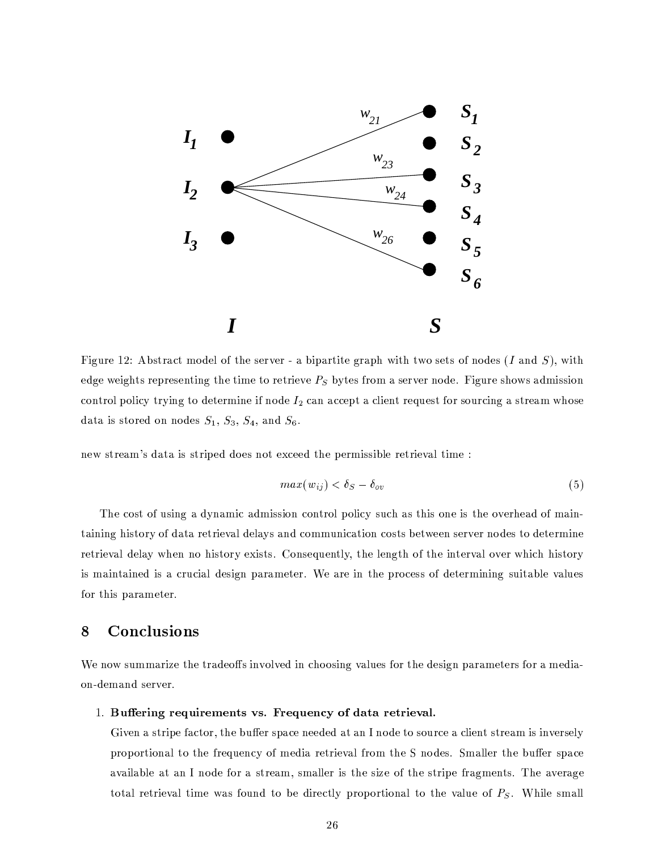

Figure 12: Abstract model of the server - a bipartite graph with two sets of nodes  $(I \text{ and } S)$ , with edge weights representing the time to retrieve  $P_S$  bytes from a server node. Figure shows admission control policy trying to determine if node  $I_2$  can accept a client request for sourcing a stream whose data is stored on nodes  $S_1$ ,  $S_3$ ,  $S_4$ , and  $S_6$ .

new stream's data is striped does not exceed the permissible retrieval time :

$$
max(w_{ij}) < \delta_S - \delta_{ov} \tag{5}
$$

The cost of using a dynamic admission control policy such as this one is the overhead of maintaining history of data retrieval delays and communication costs between server nodes to determine retrieval delay when no history exists. Consequently, the length of the interval over which history is maintained is a crucial design parameter. We are in the process of determining suitable values for this parameter.

### Conclusions 8

We now summarize the tradeoffs involved in choosing values for the design parameters for a mediaon-demand server.

# 1. Buffering requirements vs. Frequency of data retrieval.

Given a stripe factor, the buffer space needed at an I node to source a client stream is inversely proportional to the frequency of media retrieval from the S nodes. Smaller the buffer space available at an I node for a stream, smaller is the size of the stripe fragments. The average total retrieval time was found to be directly proportional to the value of  $P_S$ . While small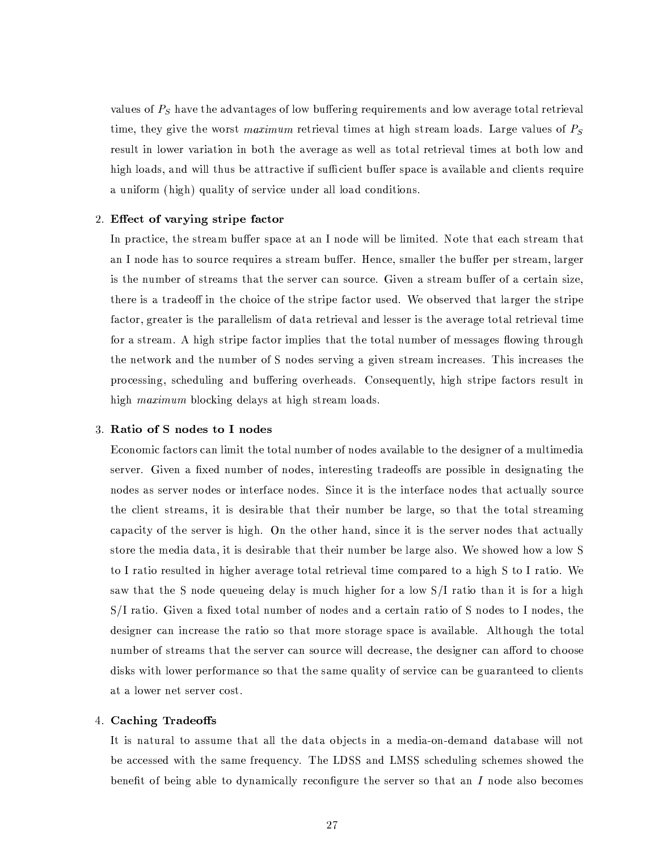values of  $P_S$  have the advantages of low buffering requirements and low average total retrieval time, they give the worst maximum retrieval times at high stream loads. Large values of  $P_S$ result in lower variation in both the average as well as total retrieval times at both low and high loads, and will thus be attractive if sufficient buffer space is available and clients require a uniform (high) quality of service under all load conditions.

# 2. Effect of varying stripe factor

In practice, the stream buffer space at an I node will be limited. Note that each stream that an I node has to source requires a stream buffer. Hence, smaller the buffer per stream, larger is the number of streams that the server can source. Given a stream buffer of a certain size, there is a tradeoff in the choice of the stripe factor used. We observed that larger the stripe factor, greater is the parallelism of data retrieval and lesser is the average total retrieval time for a stream. A high stripe factor implies that the total number of messages flowing through the network and the number of S nodes serving a given stream increases. This increases the processing, scheduling and buffering overheads. Consequently, high stripe factors result in high *maximum* blocking delays at high stream loads.

## 3. Ratio of S nodes to I nodes

Economic factors can limit the total number of nodes available to the designer of a multimedia server. Given a fixed number of nodes, interesting tradeoffs are possible in designating the nodes as server nodes or interface nodes. Since it is the interface nodes that actually source the client streams, it is desirable that their number be large, so that the total streaming capacity of the server is high. On the other hand, since it is the server nodes that actually store the media data, it is desirable that their number be large also. We showed how a low S to I ratio resulted in higher average total retrieval time compared to a high S to I ratio. We saw that the S node queueing delay is much higher for a low S/I ratio than it is for a high S/I ratio. Given a fixed total number of nodes and a certain ratio of S nodes to I nodes, the designer can increase the ratio so that more storage space is available. Although the total number of streams that the server can source will decrease, the designer can afford to choose disks with lower performance so that the same quality of service can be guaranteed to clients at a lower net server cost.

## 4. Caching Tradeoffs

It is natural to assume that all the data objects in a media-on-demand database will not be accessed with the same frequency. The LDSS and LMSS scheduling schemes showed the benefit of being able to dynamically reconfigure the server so that an  $I$  node also becomes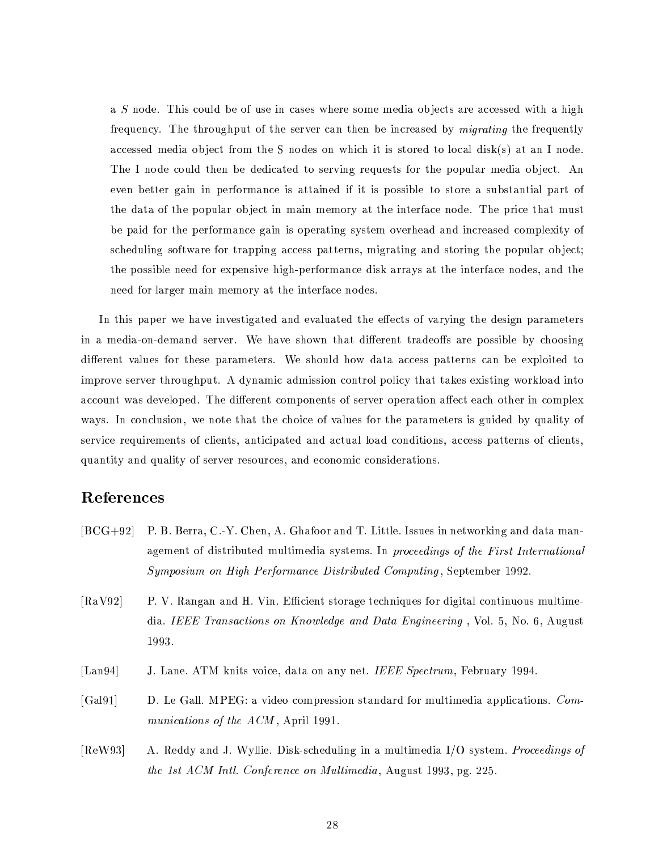a S node. This could be of use in cases where some media objects are accessed with a high frequency. The throughput of the server can then be increased by *migrating* the frequently accessed media object from the S nodes on which it is stored to local disk(s) at an I node. The I node could then be dedicated to serving requests for the popular media object. An even better gain in performance is attained if it is possible to store a substantial part of the data of the popular object in main memory at the interface node. The price that must be paid for the performance gain is operating system overhead and increased complexity of scheduling software for trapping access patterns, migrating and storing the popular object; the possible need for expensive high-performance disk arrays at the interface nodes, and the need for larger main memory at the interface nodes.

In this paper we have investigated and evaluated the effects of varying the design parameters in a media-on-demand server. We have shown that different tradeoffs are possible by choosing different values for these parameters. We should how data access patterns can be exploited to improve server throughput. A dynamic admission control policy that takes existing workload into account was developed. The different components of server operation affect each other in complex ways. In conclusion, we note that the choice of values for the parameters is guided by quality of service requirements of clients, anticipated and actual load conditions, access patterns of clients, quantity and quality of server resources, and economic considerations.

# References

- $[BCG+92]$ P. B. Berra, C.-Y. Chen, A. Ghafoor and T. Little. Issues in networking and data management of distributed multimedia systems. In proceedings of the First International Symposium on High Performance Distributed Computing, September 1992.
- [ $RaV92$ ] P. V. Rangan and H. Vin. Efficient storage techniques for digital continuous multimedia. IEEE Transactions on Knowledge and Data Engineering, Vol. 5, No. 6, August 1993.
- $\lceil$ Lan $94\rceil$ J. Lane. ATM knits voice, data on any net. IEEE Spectrum, February 1994.
- $[Ga191]$ D. Le Gall. MPEG: a video compression standard for multimedia applications. Communications of the ACM, April 1991.
- $[ReW93]$ A. Reddy and J. Wyllie. Disk-scheduling in a multimedia I/O system. Proceedings of the 1st ACM Intl. Conference on Multimedia, August 1993, pg. 225.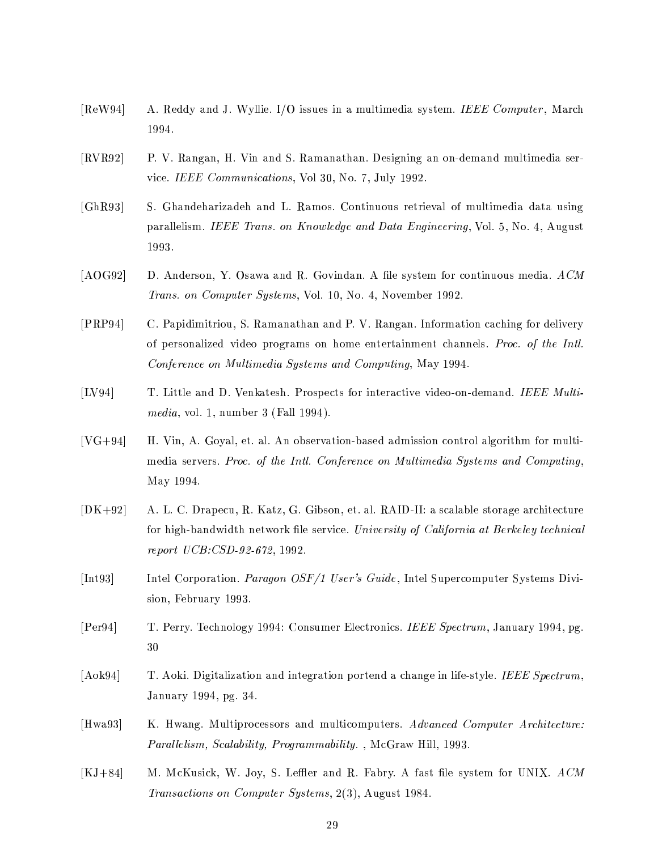- $[ReW94]$ A. Reddy and J. Wyllie. I/O issues in a multimedia system. IEEE Computer, March 1994.
- $[\mathrm{RVR}92]$ P. V. Rangan, H. Vin and S. Ramanathan. Designing an on-demand multimedia service. IEEE Communications, Vol 30, No. 7, July 1992.
- $[GhR93]$ S. Ghandeharizadeh and L. Ramos. Continuous retrieval of multimedia data using parallelism. IEEE Trans. on Knowledge and Data Engineering, Vol. 5, No. 4, August 1993.
- $[AOG92]$ D. Anderson, Y. Osawa and R. Govindan. A file system for continuous media. ACM Trans. on Computer Systems, Vol. 10, No. 4, November 1992.
- $[PRP94]$ C. Papidimitriou, S. Ramanathan and P. V. Rangan. Information caching for delivery of personalized video programs on home entertainment channels. Proc. of the Intl. Conference on Multimedia Systems and Computing, May 1994.
- $[LV94]$ T. Little and D. Venkatesh. Prospects for interactive video-on-demand. IEEE Multi*media*, vol. 1, number 3 (Fall 1994).
- $[VG+94]$ H. Vin, A. Goyal, et. al. An observation-based admission control algorithm for multimedia servers. Proc. of the Intl. Conference on Multimedia Systems and Computing, May 1994.
- $[DK+92]$ A. L. C. Drapecu, R. Katz, G. Gibson, et. al. RAID-II: a scalable storage architecture for high-bandwidth network file service. University of California at Berkeley technical report UCB: CSD-92-672, 1992.
- $[Int93]$ Intel Corporation. Paragon OSF/1 User's Guide, Intel Supercomputer Systems Division, February 1993.
- $[Per94]$ T. Perry. Technology 1994: Consumer Electronics. IEEE Spectrum, January 1994, pg. 30
- $[Aok94]$ T. Aoki. Digitalization and integration portend a change in life-style. IEEE Spectrum, January 1994, pg. 34.
- $[Hwa93]$ K. Hwang. Multiprocessors and multicomputers. Advanced Computer Architecture: *Parallelism, Scalability, Programmability.*, McGraw Hill, 1993.
- $[KJ+84]$ M. McKusick, W. Joy, S. Leffler and R. Fabry. A fast file system for UNIX. ACM *Transactions on Computer Systems,* 2(3), August 1984.